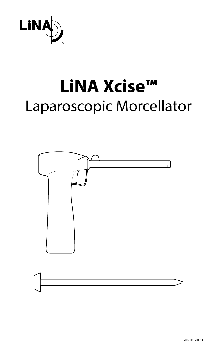

# **LiNA Xcise™** Laparoscopic Morcellator

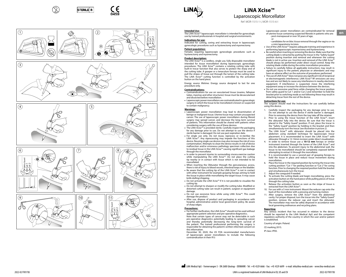













## **LiNA Xcise™** Laparoscopic Morcellator

Ref: MOR-1515-1-I, MOR-1515-6-

### **Intended Use:**

Safety Guard .<br>J Cut 2 **The LINA Xcise™ laparoscopic morcellator is intended for gynecologic** use by trained professionals in hospital and surgical environments. **Indications for use:**

Indicated for cutting, coring and extracting tissue in laparoscopic gynecologic procedures such as hysterectomy and myomectomy.

### **Patient population:**

Females requiring laparoscopic gynecologic procedures such as hysterectomy and myomectomy.

### **Product description:**

The LiNA Xcise™ is a cordless, single use, fully disposable morcellator intended for tissue morcellation during laparoscopic gynecologic procedures. The LiNA Xcise™ contains a rotating cutting tube with built-in trocar function that also serves to protect the sharp end of the cutting tube. A grasper or a tenaculum forceps must be used to pull the stripes of tissue out through the lumen of the cutting tube. The LiNA Xcise™ cutting function is controlled by the activation button on the hand piece.

Energy source lifetime: Energy source designed to last for one procedure only.

### **Contraindications:**

- **Contraindications for use on vascularised tissue (ovaries, fallopian** tubes, myomas and other structures): tissue must be devascularised and dissected before morcellation.
- • Laparoscopic power morcellators are contraindicated in gynecologic surgery in which the tissue to be morcellated is known or suspected to contain malignancy.

### **Warnings:**

- Laparoscopic power morcellation may lead to dissemination of benign or malignant tissue. Uterine tissue may contain unsuspected cancer. The use of laparoscopic power morcellators during fibroid surgery may spread cancer, and decrease the long–term survival of patients. This information should be shared with patients when considering surgery with the use of these devices.
- The LiNA Xcise™ is provided sterile. Carefully inspect the packaging for any damage prior to use. Do not attempt to use the device if sterile barrier is damaged. Do not use past expiration date.
- For single use only. Do not reuse, reprocess or re-sterilize the LiNA Xcise™. Any reprocessing may impede the functions of this device. Reusing single use devices may also increase the risk of cross contamination. Attempts to clean the device results in risk of device malfunction and/or erroneous pathology specimen collection due to residual tissue in the LiNA Xcise™ causing significant gas leakage through the morcellator.
- In order to prevent injuries to surrounding viscera exercise caution while manipulating the LiNA Xcise™. Do not place the cutting tip nearby or in contact with tissue which is not intended to be morcellated.
- When inserting the Obturator through the percutaneous access, there is risk of injury to blood vessels, intestinal loops or the bladder.
- • Be aware that the cutting tip of the LiNA Xcise™ is not in contact with other instrument for example grasping forceps aiming to hold the tissue in place while morcellating the target tissue. It may cause knife dulling/chipping.
- Do not activate the LiNA Xcise™ if it is not possible to visualize the cutting tip.
- • Do not attempt to sharpen or modify the cutting tube. Modified or distorted cutting tube can result in patient, surgeon or equipment damage.
- Do not use excessive force while using LiNA Xcise™. This could damage the product.
- After use, dispose of product and packaging in accordance with hospital, administrative and/or local government policy. Be aware of sharp edges.

### **Precautions:**

Cut 2 Cut 1 'n

• For further clarification, the LiNA Xcise™ should not be used without appropriate patient selection and pre-operative diagnostics. Note that certain types of cancer may not be detectable in such pre-operative diagnostics potentially leading to spreading cancer and thereby potentially decreasing the long–term survival of the patient. The trained professional performing the surgery is responsible for obtaining the patient's written informed consent on this information.

December 30, 2020, the US FDA recommended manufacturers of laparoscopic power morcellators to include the following contraindication in their IFU: Laparoscopic power morcellators are contraindicated for removal of uterine tissue containing suspected fibroids in patients who are: - post-menopausal or over 50 years of age,

**en**

or - candidates for en bloc tissue removal through the vagina or via a mini-laparotomy incision.

- • Use of the LiNA Xcise™ requires adequate training and experience in performing laparoscopic myomectomy and hysterectomy.
- • Be careful when inserting or removing the device. Make sure that the cutting blade is retracted by putting the trocar in the "Safety Guard" position during insertion and removal and whenever the cutting blade is not in active use. Insertion and removal of the LiNA Xcise™ should always be performed under direct visual control. Keep the rotating blade visible during the entire morcellation procedure.
- Failure to carefully follow all applicable instructions may result in significant injury to the patient, physician or attendants and may have an adverse effect on the outcome of procedures performed.
- • The use of LiNA Xcise™ does not pose any significant risk of reciprocal or electromagnetic interference. LiNA Xcise™ RF emissions are very low and are not likely to cause any interference in nearby electronic equipment. If interference is suspected, move the interfering equipment away or increase the distance between the devices.
- Do not use excessive axial force while changing the trocar position from safety guard to Cut 1 and/or Cut 2 and remember to hold the bracket prior to switching mode as not following these may result in detaching trocar from the rest of the device.

**Instructions for use:** The surgeon should read the Instructions for use carefully before using this device.

- 1. Carefully inspect the packaging for any damage prior to use. Do not attempt to use the device if sterile barrier is damaged. Prior to removing the device from the tray take off the retainer.
- 2. Prior to using the trocar function of the LiNA Xcise™, insert the obturator fully into the device. Be sure that the trocar is placed in the "Safety Guard" position. If not, place the trocar in the "Safety Guard" position by holding in the bracket and then simultaneously turn the trocar *(see illustration in picture 2)*.
- 3. The LiNA Xcise™ with obturator should be placed into the abdomen using standard technique for laparoscopic trocar placement. It is recommended to insert the LiNA Xcise™ with obturator through a 12-14mm incision under direct visualization.
- 4. In order to remove tissue use a **10-12 mm** forceps or similar instrument inserted through the lumen of the LiNA Xcise™ and into the abdomen. To prevent injury to the abdominal wall, the tissue to be morcellated should be completely exposed before attempting to extract it through the morcellator.
- 5. It is recommended to use a second pair of grasping forceps to hold the tissue in place and reduce tissue movement during morcellation.
- 6. Place the trocar in the required position by turning the trocar into cutting position: "Cut 1" for peeling function or "Cut 2" for coring function. Prior to changing the required position hold the bracket and simultaneously turn the trocar.
- 7. Adjust the coreguard if needed.<br>8. To activate the cutting blade as
- To activate the cutting blade and begin morcellating, press the activation button on the hand piece while pulling pieces of tissue through the cutting tube. 9. Release the activation button as soon as the stripe of tissue is
- extracted from the LiNA Xcise™.
- 10. For use with a 5 mm instrument: Mount the reducer cap onto the back of the morcellator with a pressing and turning motion.
- 11. After surgery, remove the LiNA Xcise™ from the abdominal cavity. For proper disposal, turn the trocar into the "Safety Guard" position, remove the reducer cap and insert the obturator. The morcellator may now be safely disposed in accordance with local governing ordinances and recycling plans.

### **Reporting:**

Any serious incident that has occurred in relation to the device should be reported to the LiNA Medical ApS and the competent regulatory authority of the country in which the user and/or patient is established.

2022-02 FV0178J

Country of origin: Poland.

CE marking 2015.

IP class: IPX0.

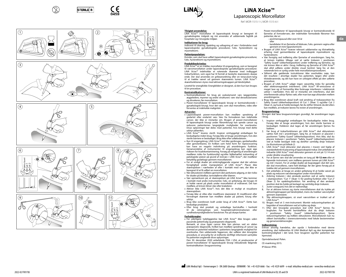

.<br>J Cut 2













## **LiNA Xcise™** Laparoscopic Morcellator

Ref: MOR-1515-1-I, MOR-1515-6-

### **Tilsigtet anvendelse:**

<u>Linde Controllator til laparoskopisk kirurgi er beregnet til</u> gynækologiske indgreb og må anvendes af uddannede fagfolk på hospitaler og i kirurgiske miljøer.

### **Indikationer for brug:**

Indiceret til skæring, opdeling og udtagning af væv i forbindelse med laparoskopiske gynækologiske procedurer, f.eks. hysteroktomi og myomektomi.

### **Patientpopulation:**

Kvinder, som skal have udført laparoskopisk gynækologiske procedurer, f.eks. hysterektomi og myomektomi.

### **Produktbeskrivelse:**

LiNA Xcise™ er en trådløs morcellator til engangsbrug, som er beregnet til vævsmorcellation under laparoskopiske gynækologiske procedurer. LiNA Xcise™ indeholder et roterende skærerør med indbygget trokarfunktion, som også har til formål at beskytte skærerørets skarpe ende. Der skal anvendes en gribeanordning eller en tenaculum-tang til at trække vævet ud gennem skærerørets lumen. LiNA Xcise™ skærefunktionen styres med aktiveringsknappen på håndstykket.

Levetid for energikilde: Energikilden er designet, så den kun kan bruges til én procedure.

### **Kontraindikationer:**

- • Kontraindikationer for brug på vaskulariseret væv (æggestokke, æggeledere, myomer og andre strukturer): væv skal devaskulariseres og dissekeres, før morcellation.
- Power-morcellatorer til laparoskopisk kirurgi er kontraindicerede i gynækologisk kirurgi, hvor det væv, som skal morcelleres, vides eller forventes at indeholde malignitet.

### **Advarsler:**

- • Laparoskopisk power-morcellation kan medføre spredning af godartet eller ondartet væv. Væv fra livmoderen kan indeholde cancer, der ikke er mistanke om. Brugen af power-morcellatorer til laparoskopisk kirurgi under fibromkirurgi kan sprede cancer og reducere patienternes langsigtede muligheder for overlevelse. Disse oplysninger bør deles med patienter, hvis kirurgi med dette udstyr påtænkes.
- • LiNA Xcise™ leveres sterilt. Inspicer omhyggeligt emballagen for beskadigelse inden brug. Forsøg ikke at bruge anordningen, hvis den sterile barriere er beskadiget. Brug ikke efter udløbsdatoen.
- • Kun til engangsbrug. LiNA Xcise™ må ikke genbruges, genbehandles eller gensteriliseres. En hvilken som helst form for reprocessering kan have en negativ indvirkning på anordningens funktion. Genanvendelse af instrumenter til engangsbrug kan også øge risikoen for krydskontaminering. Forsøg på rengøring af anordningen medfører risiko for funktionsfejl og/eller fejlbehæftet indsamling af patologiske prøver på grund af restvæv i LiNA Xcise™, der medfører betydelig gaslækage gennem morcellatoren.
- • For at undgå skader på omkringliggende organer skal der udvises forsigtighed under manipulation af LiNA Xcise™. Placer ikke skærespidsen i nærheden af eller i kontakt med væv, der ikke er beregnet til at få udført en morcellation.
- • Når obturatoren indføres gennem den perkutane adgang, er der risiko
- for skader på blodkar, tarmsløjferne eller blæren. • Vær opmærksom på, at skærespidsen på LiNA Xcise™ ikke kommer
- i kontakt med andre instrumenter, f.eks. en gribetang, der bruges til at holde vævet på plads under morcellation af målvævet. Det kan medføre, at kniven bliver sløv eller krakelerer.
- Aktiver ikke LiNA Xcise™, hvis det ikke er muligt at visualisere skærespidsen.
- • Forsøg ikke at slibe eller modificere skærerøret. Et modificeret eller forvrænget skærerør kan medføre skader på patient, kirurg eller udstyr.
- • Brug ikke overdreven kraft under brug af LiNA Xcise™. Dette kan beskadige produktet.
- • Efter brug skal produkt og emballage bortskaffes i henhold til de retningslinjer, som hospitalet/administrationen eller
- sundhedsmyndighederne foreskriver. Pas på skarpe kanter. **Forholdsregler:**
- • For yderligere tydeliggørelse bør LiNA Xcise™ ikke bruges uden
- passende patientvalg og præoperativ diagnostik. Bemærk, at visse typer cancer ikke kan påvises ved en sådan præoperativ diagnostik, hvilket kan medføre spredning af cancer og

dermed en potentiel reduktion i patientens langsigtede mulighed for overlevelse. Den uddannede fagperson, der udfører den kirurgiske procedure, er ansvarlig for at indhente skriftligt informeret samtykke fra patienten angående disse oplysninger.

Den 30. december 2020 anbefalede FDA i USA, at producenter af power-morcellatorer til laparoskopisk kirurgi inkluderede følgende kontraindikation i brugsanvisning:

Power-morcellatorer til laparoskopisk kirurgi er kontraindicerede til fiernelse af livmodervæv, der indeholder formodede fibromer hos patienter, der er:

– postmenopausal eller over 50 år

**da**

eller – kandidater til en fjernelse af blokvæv, f.eks. gennem vagina eller gennem et mini-laparotomisnit.

- • Brugen af LiNA Xcise™ kræver relevant uddannelse og tilstrækkelig erfaring med gennemførelse af laparoskopisk myomektomi og hysteroktomi.
- Vær forsigtig ved indføring eller fjernelse af anordningen. Sørg for, at kniven trækkes tilbage ved at sætte trokaren i positionen "Safety Guard" (sikkerhedsposition) under indføring og fjernelse, og når kniven ikke er aktiv i brug. Indføring og fjernelse af LiNA Xcise<sup>™</sup> skal altid udføres under direkte visuel kontrol. Sørg for, at den roterende kniv er synlig under hele morcellationsproceduren.
- • Såfremt alle gældende instruktioner ikke overholdes nøje, kan det resultere i alvorlige skader hos patienten, lægen eller andre tilstedeværende, og det kan have en utilsigtet effekt på den udførte procedure.
- • Brugen af LiNA Xcise™ udgør ingen væsentlig risiko for gensidig eller elektromagnetisk interferens. LiNA Xcise™ RF-emissioner er meget lave og vil formentlig ikke forårsage interferens i elektronisk udstyr i nærheden. Hvis der er mistanke om interferens, skal det interfererende udstyr flyttes væk, eller man kan øge afstanden mellem anordningerne.
- Brug ikke overdreven aksial kraft ved ændring af trokarposition fra Safety Guard (sikkerhedsposition) til Cut 1 (Skær 1) og/eller Cut 2 (Skær 2), og husk at holde beslaget, før du skifter tilstand, da det ellers kan medføre, at trokaren løsnes fra resten af anordningen.

### **Brugsanvisning:**

Kirurgen skal læse brugsanvisningen grundigt, før anordningen tages i brug.

- 1. Inspicer omhyggeligt emballagen for beskadigelse inden brug. Forsøg ikke at bruge anordningen, hvis den sterile barriere er beskadiget. Holderen skal tages af, før anordningen fjernes fra bakken.
- 2. Før brug af trokarfunktionen på LiNA Xcise™ skal obturatoren sættes helt ind i anordningen. Sørg for, at trokaren er placeret i positionen "Safety Guard" (sikkerhedsposition). Hvis ikke, skal du placere trokaren i positionen "Safety Guard" (sikkerhedsposition) ved at holde beslaget inde og derefter samtidig dreje trokaren *(se illustrationen på billede 2)*.
- 3. LiNA Xcise™ med obturator skal placeres i maven ved hjælp af standardteknik til placering af laparoskopisk trokar. Det anbefales at indsætte LiNA Xcise™ med obturator gennem et snit på 12-14 mm under direkte visualisering.
- 4. For at fjerne væv skal der anvendes en tang på **10-12 mm** eller et lignende instrument, som indføres gennem lumen på LiNA Xcise™ og ind i maven. For at undgå skader på bugvæggen skal det væv, der skal morcelleres, være helt blotlagt, før der gøres forsøg på at trække det ud gennem morcellatoren.
- 5. Det anbefales at bruge en anden gribetang til at holde vævet på plads og reducere vævsbevægelser under morcellation.
- 6. Anbring trokaren i den ønskede position ved at sætte trokaren i skæreposition: "Cut 1" (Skær 1) for peeling-funktion eller "Cut 2" (Skær 2) for opdelingsfunktion. Før ændring af den ønskede position skal du holde på beslaget og samtidig dreje trokaren. 7. Juster coreguard, hvis det er nødvendigt.
- 
- 8. For at aktivere kniven og starte morcellationen skal du trykke på aktiveringsknappen på håndstykket, mens du trækker vævsstykker gennem skærerøret.
- 9. Slip aktiveringsknappen, så snart vævsstriben er trukket ud af LiNA Xcise™.
- 10. Bruges med et 5 mm-instrument: Montér reduceringshætten på bagsiden af morcellatoren ved at trykke og dreje.
- 11. Efter den kirurgiske procedure skal LiNA Xcise™ fjernes fra bughulen. For korrekt bortskaffelse skal du dreje trokaren i positionen "Safety Guard" (sikkerhedsposition), fjerne reduceringshætten og indføre obturatoren. Morcellatoren kan nu sikkert bortskaffes i overensstemmelse med lokale bestemmelser og genanvendelsesregler.

### **Indberetning:**

Enhver alvorlig hændelse, der opstår i forbindelse med denne anordning, skal indberettes til LiNA Medical ApS og den kompetente kontrolmyndighed i det land, hvor brugeren og/eller patienten har hjemsted.

Oprindelsesland: Polen.

CE-mærkning 2015.

IP-klasse: IPX0.

đ

'n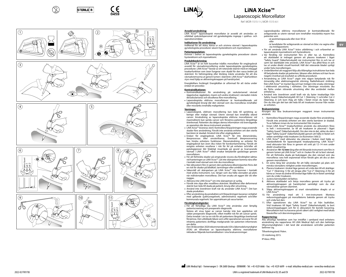

b

Safety Guard .<br>J Cut 2

Cut 2 Cut 1 'n













## **LiNA Xcise™** Laparoscopic Morcellator

Ref: MOR-1515-1-I, MOR-1515-6-

### **Avsedd användning:**

<u>Livedd allianting.</u><br>LiNA Xcise™ laparoskopisk morcellator är avsedd att användas av utbildad sjukvårdspersonal vid gynekologiska ingrepp i sjukhus- och operationsmiljöer.

### **Indikationer för användning:**

Indikerad för att skära, kärna ur och utvinna vävnad i laparoskopiska gynekologiska procedurer såsom hysterektomi och myomektomi.

### **Patientpopulation:**

Kvinnor i behov av laparoskopiska gynekologiska procedurer såsom hysterektomi och myomektomi.

### **Produktbeskrivning:**

LiNA Xcise™ är en helt kasserbar trådlös morcellator för engångsbruk avsedd för vävnadsmorcellering under laparoskopiska gynekologiska procedurer. LiNA Xcise™ består av ett roterande skärrör med en inbyggd troakarfunktion som även fungerar som skydd för den vassa änden på skärröret. En fattningstång eller klotång måste användas för att dra vävnadsremsorna ut genom lumen i skärröret. LiNA Xcise™ skärfunktion styrs med hjälp av aktiveringsknappen på handstycket.

Energikällans livslängd: Energikällan är utformad för att räcka under endast en procedur.

- **Kontraindikationer:** • Kontraindikationer för användning på vaskulariserad vävnad (äggstockar, äggledare, myom och andra strukturer): vävnaden måste devaskulariseras och dissekeras före morcellering.
- • Laparoskopiska eldrivna morcellatorer är kontraindikerade vid gynekologisk kirurgi där den vävnad som ska morcelleras innehåller eller misstänks innehålla maligniteter.

### **Varningar:**

- • Laparoskopisk, eldriven morcellering kan leda till spridning av benign eller malign vävnad. Uterin vävnad kan innehålla okänd cancer. Användning av laparoskopiska eldrivna morcellatorer vid myomektomi kan sprida cancer och försämra patientens långsiktiga överlevnad. Patienten ska delges denna information vid övervägande av operation där dessa instrument används.
- • LiNA Xcise™ levereras steril. Kontrollera förpackningen noga avseende skador före användning. Försök inte använda enheten om den sterila barriären är skadad. Använd inte efter utgångsdatum.
- • Endast för engångsbruk. LiNA Xcise™ får inte återanvändas, återprocessas eller omsteriliseras. Eventuell återprocessering kan hindra enhetens funktioner. Återanvändning av enheter för engångsbruk kan även öka risken för korskontaminering. Försök att rengöra enheten resulterar i risk för fel på enheten och/eller att patologiprover blir felaktigt insamlade på grund av kvarvarande vävnad i LiNA Xcise™ vilket orsakar betydande gasläckage genom morcellatorn.
- • För att förhindra skador på omgivande viscera ska försiktighet iakttas vid hanteringen av LiNA Xcise™. Låt inte skärspetsen komma nära eller i kontakt med vävnad som inte ska morcelleras.
- • När obturatorn förs in genom den perkutana åtkomstporten finns det en risk för skador på blodkärl, tarmslingor eller urinblåsa.
- • Säkerställ att skärspetsen på LiNA Xcise™ inte kommer i kontakt med andra instrument, t.ex. tänger som ska hålla vävnaden på plats när målvävnaden morcelleras. Det kan orsaka att eggen blir slö eller naggas.
- • Aktivera inte LiNA Xcise™ om inte skärspetsen är synlig.
- • Försök inte slipa eller modifiera skärröret. Modifierat eller deformerat skärrör kan leda till skada på patient, kirurg eller utrustning.
- • Använd inte överdriven kraft när du använder LiNA Xcise™. Det kan skada produkten.
- Efter användning ska produkten och förpackningen kasseras i enlighet med gällande sjukhusregelverk, administrativa regelverk och/eller nunala regelverk. Var uppmärksam på vassa kanter.

### **Försiktighetsåtgärder:**

<u>• För att förtydliga ska LiNA Xcise™</u> inte användas utan lämplig patientscreening och preoperativ diagnostik.

Notera att vissa typer av cancer kanske inte kan upptäckas vid sådan preoperativ diagnostik, vilket medför risk för att cancer sprids. Detta innebär i sin tur en risk för att patientens långsiktiga överlevnad försämras. Den utbildade läkare som utför operationen ansvarar för att inhämta patientens skriftliga medgivande när patienten informerats om detta.

Den 30 december 2020 rekommenderade USA:s läkemedelsmyndighet (FDA) att tillverkare av laparoskopiska eldrivna morcellatorer inkluderar följande kontraindikation i sina bruksanvisningar:

Laparoskopiska eldrivna morcellatorer är kontraindikerade för avlägsnande av uterin vävnad som innehåller misstänkta myom hos patienter som

- är postmenopausala eller över 50 år eller

- är kandidater för avlägsnande av vävnad en bloc via vagina eller via minilaparotomi.

**sv**

- • För att använda LiNA Xcise™ krävs utbildning i och erfarenhet av
- laparoskopisk myomektomi och hysterektomi. • Var försiktig när instrumentet förs in eller tas ut. Kontrollera att skärbladet är indraget genom att placera troakaren i läget "Safety Guard" (Säkerhetsskydd) när instrumentet förs in och tas ut samt när skärbladet inte används. LiNA Xcise™ ska alltid föras in och tas ut under direkt visuell kontroll. Håll det roterande bladet synligt under hela morcelleringen.
- • Underlåtenhet att noggrant följa alla tillämpliga instruktioner kan leda till betydande skador på patienten, läkaren eller skötare och kan ha en negativ inverkan på resultatet av utförda procedurer.
- • Användning av LiNA Xcise™ utgör inte någon betydande risk för ömsesidig eller elektromagnetisk störning. Radiofrekvent strålning från LiNA Xcise™ är mycket låg och kan troligen inte orsaka störningar i elektronisk utrustning i närheten. Om störningar misstänks ska du flytta undan störande utrustning eller öka avståndet mellan enheterna.
- • Använd inte överdriven axiell kraft när du byter troakarläge från Safety Guard (Säkerhetsskydd) till Cut 1 (Skärning 1) och/eller Cut 2 (Skärning 2) och kom ihåg att hålla i fästet innan du byter läge. Om du inte gör det kan det leda till att troakaren lossnar från resten av enheten.

### **Bruksanvisning:**

Kirurgen ska läsa bruksanvisningen noggrant innan instrumentet används.

- 1. Kontrollera förpackningen noga avseende skador före användning. Försök inte använda enheten om den sterila barriären är skadad. Ta av hållaren innan du tar instrumentet från insatsen.
- 2. Innan LiNA Xcise™ troakarfunktion används ska obturatorn föras in helt i instrumentet. Se till att troakaren är placerad i läget "Safety Guard" (Säkerhetsskydd). Om den inte är det, sätter du den i läget "Safety Guard" (Säkerhetsskydd) genom att hålla in fästet och sedan samtidigt vrida troakaren *(se illustration i bild 2)*.
- 3. LiNA Xcise™ med obturator ska placeras i buken med hjälp av standardteknik för laparoskopisk troakarplacering. LiNA Xcise™ med obturator bör föras in genom ett snitt på 12–14 mm under direkt visualisering.
- 4. Använd en **10–12 mm** tång eller ett liknande instrument som förs in genom lumen på LiNA Xcise™ och in i buken för att ta bort vävnad. För att förhindra skada på bukväggen ska den vävnad som ska morcelleras vara helt exponerad innan försök görs att dra ut den genom morcellatorn.
- 5. En extra tång bör användas för att hålla vävnaden på plats och minska vävnadens rörlighet under morcelleringen.
- 6. Placera troakaren i önskat läge genom att vrida den till ett skärläge: "Cut 1" (Skärning 1) för att skrapa eller "Cut 2" (Skärning 2) för att kärna ur. Innan du ändrar till önskat läge håller du in fästet samtidigt som du vrider troakaren.
- 7. Justera kärnskyddet vid behov.
- 8. Aktivera skärbladet och börja morcellera genom att trycka på aktiveringsknappen på handstycket samtidigt som du drar vävnadsbitar genom skärröret.
- 9. Släpp aktiveringsknappen så snart vävnadsbiten dragits ut ur LiNA Xcise™.
- 10. För användning med ett 5 mm-instrument: Montera reduceringspluggen på morcellatorns baksida genom att trycka och vrida fast den.
- Vrid troakaren till läget "Safety Guard" (Säkerhetsskydd), ta bort reduceringspluggen och för in obturatorn för korrekt kassering. Morcellatorn kan nu kasseras på ett säkert sätt i enlighet med lokala föreskrifter och återvinningsplaner.

### **Rapportering:**

Alla allvarliga händelser som har inträffat i samband med enhetens användning ska rapporteras till LiNA Medical ApS och den behöriga tillsynsmyndigheten i det land där användaren och/eller patienten befinner sig.

Tillverkningsland: Polen.

CE-märkning 2015. IP-klass: IPX0.

2022-02 FV0178J

11. Efter operationen ska LiNA Xcise™ tas ut från bukhålan.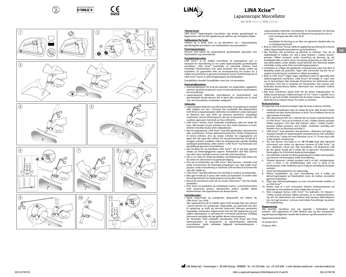

b

Safety Guard .<br>J Cut 2













## **LiNA Xcise™** Laparoscopic Morcellator

Ref: MOR-1515-1-I, MOR-1515-6-

### **Tiltenkt bruk:**

LiNA Xcise™ laparoskopisk morcellator skal brukes gynekologisk av fagpersoner som har fått opplæring, på sykehus og i kirurgiske miljøer.

### **Indikasjoner for bruk:**

Indisert for å kutte, bore ut og ekstrahere vev i laparoskopiske gynekologiske prosedyrer som hysterektomi og myomektomi.

### **Pasientpopulasjon:**

Kvinner med behov for laparoskopisk gynekologisk operasjon som hysterektomi og myomektomi.

### **Produktbeskrivelse:**

LiNA Xcise™ er en trådløs morcellator til engangsbruk som er beregnet for morcellering av vev under laparoskopiske gynekologiske prosedyrer. LiNA Xcise™ inneholder et roterende kutterør med innebygd trokarfunksjon som også beskytter den skarpe enden på kutterøret. En gripeenhet eller en tenakulumtang må brukes for å trekke vevsstrimlene ut gjennom kutterørets lumen. Kuttefunksjonen til LiNA Xcise™ styres av aktiveringsknappen på håndstykket.

Energikildens levetid: Energikilden varer kun i én prosedyre.

- **Kontraindikasjoner:** • Kontraindikasjoner for bruk på vaskulært vev (eggstokker, eggledere, myomer og andre strukturer): vevet må devaskulariseres og dissekeres før morcellering.
- • Laparoskopiske elektriske morcellatorer er kontraindisert ved gynekologisk kirurgi dersom det er kjent eller mistanke om at vevet som skal morcelleres, inneholder malignitet.

### **Advarsler:**

- • Laparoskopisk elektrisk morcellering kan føre til spredning av benignt eller malignt vev. Vev i livmoren kan inneholde ikke-diagnostisert kreft. Bruk av laparoskopiske elektriske morcellatorer under operasjon av fibromer kan spre kreft og redusere pasientens langsiktige overlevelse. Denne informasjonen skal gis til pasientene dersom det vurderes operasjon med bruk av disse enhetene.
- • LiNA Xcise™ leveres steril. Undersøk emballasjen nøye for skade før bruk. Ikke forsøk å bruke enheten hvis den sterile barrieren er brutt. Enheten skal ikke brukes etter utløpsdatoen.
- • Kun til engangsbruk. LiNA Xcise™ skal ikke gjenbrukes, reprosesseres eller resteriliseres. Enhver dekontaminering kan hindre funksjonene til denne enheten. Hvis du bruker enheten for engangsbruk om igjen, kan det også øke risikoen for krysskontaminering. Forsøk på å rengjøre enheten medfører risiko for funksjonssvikt og/eller feilaktig patologisk prøvetaking, siden restvev i LiNA Xcise™ kan forårsake stor gasslekkasje gjennom morcellatoren. • Vær forsiktig når du håndterer LiNA Xcise™, slik at det ikke oppstår
- skader på omkringliggende organer. Kutteenden skal ikke komme nær eller være i kontakt med vev som ikke skal morcelleres.
- • Det er en risiko for skade på blodkar, tarmbuktninger eller blære når du setter inn obturatoren via perkutan tilgang.
- • Pass på at kutteenden på LiNA Xcise™ ikke kommer i kontakt med andre instrumenter, for eksempel gripetenger som skal holde vevet på plass under morcellering av målvevet. Det kan føre til at kniven blir sløv eller skaller av.
- • LiNA Xcise™ skal ikke aktiveres hvis det ikke er mulig å se kutteenden. • Ikke gjør forsøk på å spisse eller endre på kutterøret. Et endret eller
- forvrengt kutterør kan skade pasient, kirurg eller utstyr. • Ikke bruk overdreven kraft når du bruker LiNA Xcise™. Det kan skade
- produktet. • Etter bruk må produktet og emballasjen kastes i overensstemmelse
- med sykehusets praksis, administrativ praksis og/eller lokale bestemmelser. Vær oppmerksom på skarpe kanter.
- **Forholdsregler:** • Egnet pasientvalg og preoperativ diagnostikk må utføres før LiNA Xcise™ tas i bruk.
- Vær oppmerksom på at enkelte typer kreft kanskje ikke kan påvises i denne formen for preoperativ diagnostikk, og potensielt kan føre til spredning av kreft og dermed potensielt redusere pasientens langsiktige overlevelse. Fagpersonen som har fått opplæring og som utfører operasjonen, er ansvarlig for å innhente pasientens skriftlige informerte samtykke når det gjelder denne informasjonen.

30. desember 2020 anbefalte amerikanske FDA (Food and Drug Administration) at produsenter av laparoskopiske elektriske morcellatorer skulle inkludere følgende kontraindikasjoner i bruksanvisningen:

### Laparoskopiske elektriske morcellatorer er kontraindisert for fjerning av livmorvev der det er mistanke om fibromer hos pasienter som er: - post-menopausale eller over 50 år

eller

- kandidater for fjerning av en bloc-vev gjennom skjeden eller via et minilaparotomisnitt

• Bruk av LiNA Xcise™ krever adekvat opplæring og erfaring for å kunne utføre laparoskopisk myomektomi og hysterektomi.

**no**

- • Vær forsiktig ved innsetting og fjerning av enheten. Pass på at skjærebladet er trukket inn ved å sette trokaret i «Safety Guard» posisjon (Sikker posisjon) under innsetting og fjerning, og når kuttebladet ikke er aktivt i bruk. Innsetting og fjerning av LiNA Xcise™ skal alltid utføres under direkte visuell kontroll. Det roterende bladet må holdes synlig under hele morcelleringsprosedyren.
- • Unnlatelse av å følge alle gjeldende instruksjonene nøye, kan føre til betydelig skade på pasienten, legen eller personalet og kan ha en negativ innvirkning på resultatet av utførte prosedyrer.
- • Bruk av LiNA Xcise™ utgjør ingen signifikant risiko for gjensidig eller elektromagnetisk interferens. LiNA Xcise™ RF-utslipp er svært lave og vil sannsynligvis ikke forårsake forstyrrelser for elektronisk utstyr i nærheten. Hvis det er mistanke om forstyrrelser, skal utstyret som forårsaker forstyrrelsene flyttes. Alternativt kan avstanden mellom enhetene økes.
- Ikke bruk overdreven aksial kraft når du bytter trokarposision fra Safety Guard-posisjon (Sikker posisjon) til Cut 1 (Kutt 1) og/eller Cut 2 (Kutt 2), og husk å holde i braketten før du bytter modus. Hvis ikke kan dette føre til at trokaret løsner fra resten av enheten.

### **Bruksanvisning:**

**Kirurgen bør lese bruksanvisningen nøye før bruk av denne enheten.** 

- 1. Undersøk emballasjen nøye for skade før bruk. Ikke forsøk å bruke enheten hvis den sterile barrieren er brutt. Ta av holderen før du tar opp enheten fra brettet.
- 2. Sett obturatoren helt inn i enheten før du bruker trokarfunksjonen til LiNA Xcise™. Pass på at trokaret er satt i «Safety Guard»-posisjon (Sikker posisjon). Hvis ikke skal trokaret settes i «Safety Guard» posisjon (Sikker posisjon) ved å holde i braketten samtidig som trokaret snus *(se illustrasjon på bilde 2)*.
- LiNA Xcise™ med obturator skal plasseres i abdomen ved hjelp av standard teknikk for laparoskopisk trokarplassering. Det anbefales at LiNA Xcise™ settes inn med obturator via et 12–14 mm stort snitt under direkte visualisering.
- 4. Vev kan fjernes ved hjelp av en **10–12 mm** tang eller lignende instrument som settes inn gjennom lumenet til LiNA Xcise™ og inn i abdomen. Vevet som skal morcelleres, må eksponeres helt før det gjøres forsøk på å trekke det ut gjennom morcellatoren. Dette gjøres for å forhindre skade på bukveggen.
- 5. Det anbefales å bruke en ekstra gripetang for å holde vevet på plass og redusere vevsbevegelse under morcellering.
- 6. Trokaret plasseres i ønsket posisjon ved å vri det i kutteposisjon: «Cut 1» (Kutt 1) for skrellefunksjon eller «Cut 2» (Kutt 2) for borefunksjon. Hold i braketten og vri trokaret samtidig før du bytter posisjon.
- 7. Juster kjernebeskyttelsen om nødvendig.
- 8. Aktiver kuttebladet, og start morcellering ved å trykke på aktiveringsknappen på håndstykket mens du trekker vevstykker gjennom kutterøret.
- 9. Slipp opp aktiveringsknappen så snart vevsstrimmelen trekkes ut av LiNA Xcise™.
- 10. Brukes med et 5 mm instrument: Monter reduksjonshetten på baksiden av morcellatoren ved å trykke den inn og vri.
- 11. Etter inngrepet fjernes LiNA Xcise™ fra bukhulen. Vri trokaret i «Safety Guard»-posisjon (Sikker posisjon), ta av reduksjonshetten, og sett inn obturatoren når enheten skal kasseres. Morcellatoren kan nå trygt kasseres i samsvar med lokale forordninger og planer for resirkulering.

### **Rapportering:**

Alle alvorlige hendelser som har oppstått i forbindelse med enheten, skal rapporteres til LiNA Medical ApS og den kompetente reguleringsmyndigheten i landet der brukeren og/eller pasienten bor. Opprinnelsesland: Polen.

CE-merke 2015.

IP-klasse: IPX0.

đ

'n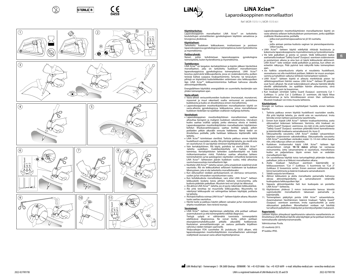



b

Safety Guard .<br>J Cut 2

Cut 2 Cut 1 'n













## **LiNA Xcise™ LiNA Xcise™** Laparoskooppinen morsellaattori

Ref: MOR-1515-1-I, MOR-1515-6-I

### **Käyttötarkoitus:**

Laparoskooppinen morsellaattori LiNA Xcise™ on tarkoitettu koulutettujen ammattilaisten gynekologiseen käyttöön sairaaloissa ja kirurgisissa yksiköissä.

### **Käyttöaiheet:**

Tarkoitettu kudoksen leikkaukseen, irrottamiseen ja poistoon laparoskooppisissa gynekologisissa toimenpiteissä, kuten hysterektomia ja myomektomia.

## **Potilasryhmät:**

kohdistetaan laparoskooppisia gynekologisia toimenpiteitä, kuten hysterektomia ja myomektomia.

### **Tuotekuvaus:**

LiNA Xcise™ on langaton, kertakäyttöinen ja käytön jälkeen hävitettävä morsellaattori, joka on tarkoitettu kudoksen morselloimiseen laparoskooppisissa gynekologisissa toimenpiteissä. LiNA Xcise™ koostuu pyörivästä leikkuuputkesta, jossa on sisäänrakennettu, putken terävää kärkeä suojaava troakaaritoiminto. Tartunta- tai tenaculumpihtejä on käytettävä kudosleikkeiden vetämiseen ulos leikkuuputken läpi. LiNA Xcise™ -leikkaamistoimintoa hallitaan kahvassa olevalla aktivointipainikkeella.

Energialähteen käyttöikä: energialähde on suunniteltu kestämään vain yhden toimenpiteen ajan.

### **Vasta-aiheet:**

- • Vasta-aiheet verisuonittuneiden kudosten (munasarjat, munatorvet, myoomat ja muut rakenteet) osalta: verisuonet on poistettava kudoksesta ja kudos on dissektoitava ennen morselloimista.
- • Laparoskooppisten moottorikäyttöisten morsellaattorien käyttö on vasta-aiheista gynekologisissa leikkauksissa, joissa morselloitavan kudoksen tiedetään tai epäillään sisältävän maligneja kohteita.

### **Varoitukset:**

- • Laparoskooppinen moottorikäyttöinen morselloiminen saattaa aiheuttaa benignin ja malignin kudoksen sekoittumista. Uteruksen kudos saattaa sisältää syöpää, jonka olemassa olosta ei tiedetä. Laparoskooppisten moottorikäyttöisten morsellaattorien käyttäminen kohdun lihaskasvainkirurgiassa saattaa levittää syöpää, jolloin potilaiden pitkän aikavälin ennuste heikkenee. Nämä tiedot on ilmoitettava potilaille, joille harkitaan leikkausta käyttämällä näitä laitteita.
- • LiNA Xcise™ toimitetaan steriilinä. Tarkista pakkaus ennen käyttöä huolellisesti vaurioiden varalta. Älä yritä käyttää laitetta, jos steriili este on vaurioitunut. Ei saa käyttää viimeisen käyttöpäivän jälkeen.
- • Vain kertakäyttöinen. Älä käytä, puhdista tai steriloi LiNA Xcise™ -laitetta uudelleen. Uudelleenkäsittely voi haitata laitteen toimintaa. Kertakäyttöisten laitteiden uudelleenkäyttö voi lisätä ristikontaminaation riskiä. Puhdistus saattaa aiheuttaa laitteen toimintahäiriön ja/tai patologisten näytteiden virheellistä keräämistä LiNA Xcise™ -laitteeseen jäävän kudoksen vuoksi, mikä aiheuttaa suuria kaasuvuotoja morsellaattorin läpi.
- • Käsittele LiNA Xcise™ -laitetta varoen, jotta ympäröivät sisäelimet eivät vaurioidu. Älä vie leikkuukärkeä sellaiseen kudokseen tai kudoksen läheisyyteen, jota ei ole tarkoitettu morselloitavaksi.
- • Kun obturaattori viedään perkutaanisesti, on olemassa verisuonien,
- suolen ja/tai virtsarakon vaurioitumisen vaara. • Kun kohdekudosta morselloidaan, varo ettei LiNA Xcise™ -laitteen leikkuukärki kosketa toista pihtien kaltaista instrumenttia, jolla kudosta pidetään paikallaan. Muutoin terä voi tylsyä tai rikkoutua.
- • Älä aktivoi LiNA Xcise™ -laitetta, jos et pysty näkemään leikkuukärkeä.
- • Älä yritä teroittaa tai muunnella leikkuuputkea. Muunneltu tai vääntynyt leikkuuputki voi vahingoittaa laitteen käyttäjää, potilasta tai laitteita.
- • Älä käytä liiallista voimaa LiNA Xcise™ -laitteen käytön aikana. Muutoin tuote saattaa vaurioitua.
- • Hävitä tuote ja pakkaus käytön jälkeen sairaalan ja/tai viranomaisten ohjeita noudattaen. Varo teräviä reunoja.

### **Varotoimet:**

• LiNA Xcise™ -laitteen käyttäminen edellyttää, että potilaat valitaan asianmukaisesti ja että toimenpidettä edeltää diagnoosi. Tiettyjä syöpiä ei välttämättä tunnisteta toimenpidettä

edeltävässä diagnoosissa. Ne voivat levitä, jolloin potilaan eloonjäämismahdollisuudet pitkällä aikavälillä heikkenevät. Koulutetun ammattilaiskirurgin on saatava potilaalta kirjallinen vahvistus näiden tietojen saamiselle.

Yhdysvaltojen FDA suosittelee 30. joulukuuta 2020 alkaen, että laparoskooppisten moottorikäyttöisten morsellaattorien valmistajat sisällyttävät seuraavat vasta-aiheet käyttöohjeisiinsa:

Laparoskooppisten moottorikäyttöisten morsellaattorien käyttö on vasta-aiheista sellaisen kohtukudoksen poistamiseen, jonka epäillään sisältävän lihaskasvaimia, potilailla

– jotka ovat postmenopausaalisia tai yli 50-vuotiaita,

tai – joilta aiotaan poistaa kudosta vaginan tai pienoislaparotomiaviillon kautta.

- • LiNA Xcise™ -laitteen käyttö edellyttää riittävää koulutusta ja
- kokemusta laparoskooppisesta myomektomiasta ja hysterektomiasta. • Vie laite paikalleen ja poista se varoen. Vedä leikkuuterä taakse asettamalla troakaari "Safety Guard" (Suojaus) -asentoon sisäänviennin ja poistamisen aikana ja aina kun et käytä leikkuuterää aktiivisesti. LiNA Xcise™ -laite voidaan viedä paikalleen ja poistaa, kun siihen on esteetön näkyvyys. Pidä pyörivä terä näkyvillä koko toimenpiteen

**fi**

- ajan. • Jos kaikkia asiaankuuluvia ohjeita ei noudateta huolellisesti, seurauksena voi olla merkittävä potilaan, lääkärin tai muun avustajan vamma ja haitallinen vaikutus tehtävän toimenpiteen tuloksiin.
- • LiNA Xcise™ -laitteen käyttö ei aiheuta merkittävää piston tai sähkömagneettisen häiriön vaaraa. LiNA Xcise™ -laitteen RF-päästöt ovat hyvin alhaiset. Ne eivät todennäköisesti aiheuta häiriöitä lähellä oleville sähkölaitteille. Jos epäillään häiriön aiheutumista, siirrä häiritsevä laite pois tai kauemmas.
- • Kun troakaari siirretään Safety Guard (Suojaus) -asennosta Cut 1 (Leikkaus 1)- ja/tai Cut 2 (Leikkaus 2) -asentoon, älä käytä liikaa aksiaalivoimaa ja tartu kiinnikkeeseen ennen tilan vaihtamista. Muutoin troakaari voi irrota muusta laitteesta.

### **Käyttöohjeet:**

**Kirurgin on luettava seuraavat käyttöohjeet huolella ennen laitteen** käyttöä.

- 1. Tarkista pakkaus ennen käyttöä huolellisesti vaurioiden varalta. Älä yritä käyttää laitetta, jos steriili este on vaurioitunut. Irrota kiinnike ennen laitteen poistamista tarjottimelta.
- 2. Ennen kuin käytät LiNA Xcise™ -laitteen troakaaritoimintoa, aseta obturaattori kokonaan laitteeseen. Varmista, että troakaari on "Safety Guard" (Suojaus) -asennossa. Jos näin ei ole, aseta troakaari "Safety Guard" (Suojaus) -asentoon pitämällä kiinni kannattimesta ja kääntämällä troakaaria samanaikaisesti *(ks. kuva 2)*.
- 3. Obturaattorilla varustettu LiNA Xcise™ viedään vatsaonteloon käyttäen sisäänviennin vakiotekniikkaa. Obturaattorilla varustettu LiNA Xcise™ suositellaan vietäväksi sisään 12–14 mm viillon kautta
- niin, että näkyvyys siihen on esteetön. 4. Kudoksen irrottamiseksi käytä LiNA Xcise™ -laitteen läpi vatsaonteloon vietyjä **10–12 mm:n** pihtejä tai vastaavaa instrumenttia. Jotta vatsanseinämä ei vaurioituisi, morselloitava kudos on paljastettava täysin ennen kuin se vedetään morsellaattorin läpi.
- 5. On suositeltavaa käyttää toisia tartuntapihtejä pitämään kudosta paikallaan, jotta se ei liikkuisi morsellaation aikana.
- 6. Aseta troakaari haluttuun asentoon kääntämällä se leikkausasentoon: "Cut 1" (Leikkaus 1) kuorimista tai "Cut 2" (Leikkaus 2) loveamista varten. Ennen asennon vaihtamista pidä kiinni kannattimesta ja käännä troakaaria samanaikaisesti.
- 7. Säädä suojusta tarvittaessa.
- Aktivoi leikkuuterä ja aloita morsellaatio painamalla kahvassa olevaa aktivointipainiketta ja samanaikaisesti vetämällä kudospalasia leikkuuputken läpi.
- 9. Vapauta aktivointipainike heti kun kudospala on poistettu LiNA Xcise™ -laitteesta.
- 10. Käyttäminen yhdessä 5 mm:n instrumentin kanssa: kiinnitä morsellaattorin takaosaan painamalla kääntämällä.
- 11. Toimenpiteen päätyttyä poista LiNA Xcise™ vatsaontelosta. Asianmukainen hävittäminen: käännä troakaari "Safety Guard" (Suojaus) -asentoon asentoon, irrota supistuskorkki ja aseta obturaattori paikalleen. Morsellaattori voidaan nyt hävittää turvallisesti paikallisten määräysten ja kierrätysohjeiden mukaisesti.

### **Raportointi:**

Laitteen käytön yhteydessä tapahtuneista vakavista vaaratilanteista on ilmoitettava LiNA Medical ApS:lle sekä käyttäjän ja/tai potilaan kotimaan toimivaltaiselle sääntelyviranomaiselle. Valmistusmaa: Puola.

2022-02 FV0178J

CE-merkintä 2015.

IP-luokka: IPX0.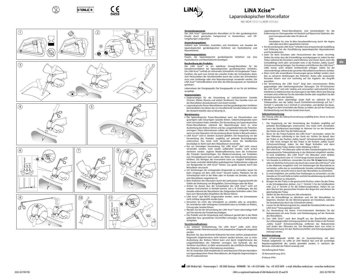























## **LiNA Xcise™ LiNA Xcise™**

Ref: MOR-1515-1-I, MOR-1515-6-I Laparoskopischer Morcellator

### **Verwendungszweck:**

Der LiNA Xcise™ laparoskopische Morcellator ist für den gynäkologischen Einsatz durch geschultes Fachpersonal in Krankenhaus- und OP-Umgebungen vorgesehen.

### **Anwendungsgebiete:**

Indiziert zum Schneiden, Aushöhlen und Extrahieren von Gewebe bei laparoskopischen gynäkologischen Verfahren wie Hysterektomie und Myomektomie.

### **Patientenpopulation:**

Frauen, die laparoskopische gynäkologische Verfahren wie eine Hysterektomie und Myomektomie benötigen.

### **Beschreibung des Produkts:**

Der LiNA Xcise™ ist ein kabelloser Einweg-Morcellator für die Gewebemorcellation bei laparoskopischen gynäkologischen Verfahren. Der LiNA Xcise™ enthält ein rotierendes Schneidrohr mit eingebauter Trokar-Funktion, die auch zum Schutz des scharfen Endes des Schneidrohrs dient. Zum Herausziehen der Gewebestreifen durch das Lumen des Schneidrohrs muss eine Greifzange oder eine Repositionszange verwendet werden. Die LiNA Xcise™ Schneidfunktion wird über die Aktivierungstaste am Handstück gesteuert.

Lebensdauer der Energiequelle: Die Energiequelle ist nur für ein Verfahren ausgelegt.

### **Gegenanzeigen:**

- • Gegenanzeigen für die Anwendung an vaskularisiertem Gewebe (Ovarien, Eileiter, Myome und andere Strukturen): Das Gewebe muss vor der Morcellation devaskularisiert und seziert werden.
- • Laparoskopische Power-Morcellatoren sind bei gynäkologischen Verfahren kontraindiziert, bei denen das zu morcellierende Gewebe bekannt ist oder der Verdacht besteht, dass es bösartig ist.

### **Warnhinweise:**

- Die laparoskopische Power-Morcellation kann zur Dissemination von gutartigem oder bösartigem Gewebe führen. Gebärmuttergewebe kann nicht vermuteten Krebs enthalten. Die Verwendung von laparoskopischen Power-Morcellatoren während der Myomchirurgie kann zu einer Ausbreitung des Krebses führen und das Langzeitüberleben der Patienten verringern. Diese Informationen sollten den Patienten mitgeteilt werden, wenn sie eine Operation mit Verwendung dieser Geräte in Betracht ziehen.
- • LiNA Xcise™ wird in sterilem Zustand geliefert. Die Verpackung vor der Verwendung des Produkts sorgfältig auf jedwede Beschädigungen untersuchen. Das Gerät nicht verwenden, wenn die Sterilbarriere beschädigt ist. Nicht nach dem Ablaufdatum verwenden.
- • Nur zur einmaligen Verwendung. Der LiNA Xcise™ darf nicht erneut verwendet werden, nicht wieder aufbereitet werden, nicht erneut sterilisiert werden. Jegliche Wiederaufbereitung kann die Funktionen des Produkts beeinträchtigen. Die Wiederverwendung von Produkten zum Einmalgebrauch kann zudem das Risiko von Kreuzkontaminationen erhöhen. Das Reinigen des Instruments kann zur möglich Fehlfunktion des Geräts und/oder fehlerhaften pathologischen Probenahmen aufgrund von Restgewebe im LiNA Xcise™ führen, was große Gaslecks durch den Morcellator verursacht.
- • Um Verletzungen der umliegenden Eingeweide zu vermeiden, lassen Sie beim Umgang mit dem LiNA Xcise™ Vorsicht walten. Platzieren Sie die Schneidspitze nicht in der Nähe oder im Kontakt mit Gewebe, das nicht zum Morcellieren vorgesehen ist.
- • Beim Einführen des Obturators durch den perkutanen Zugang besteht die Gefahr der Verletzung von Blutgefäßen, Darmschlingen oder der Blase. • Achten Sie darauf, dass die Schneidspitze des LiNA Xcise™ nicht mit
- anderen Instrumenten in Kontakt kommt, wie z. B. Greifzangen, die das Gewebe während der Morcellation des Zielgewebes festhalten sollen. Dies kann zum Abstumpfen/Absplittern der Messer führen.
- • LiNA Xcise™ darf NICHT eingeschaltet werden, wenn die Schneidspitze nicht sichtbar dargestellt werden kann.
- Versuchen Sie nicht, das Schneidrohr zu schärfen oder zu verändern Ein verändertes oder verbogenes Schneidrohr kann zu Schäden an Patient, Chirurg oder Geräten führen.
- • Wenden Sie bei der Verwendung der LiNA Xcise™ keine übermäßige Kraft auf. Dies könnte das Produkt beschädigen.
- • Das Produkt und die Verpackung nach Gebrauch gemäß den in der Klinik geltenden bzw. gesetzlichen Vorschriften entsorgen. Auf scharfe Kanten achtgeben.

### **Vorsichtsmaßnahmen:**

• Zur weiteren Verdeutlichung: Der LiNA Xcise™ sollte nicht ohne entsprechende Patientenauswahl und präoperative Diagnostik eingesetzt werden.

Beachten Sie, dass bestimmte Krebsarten bei einer solchen präoperativen Diagnostik möglicherweise nicht erkannt werden können, was zu einer Ausbreitung des Krebses führen kann und damit möglicherweise das Langzeitüberleben des Patienten verringert. Die Fachkraft, die das Verfahren durchführt, ist dafür verantwortlich, die schriftliche Einwilligung des Patienten zu diesen Informationen einzuholen.

Am 30. Dezember 2020 empfahl die US-amerikanische FDA den Herstellern von laparoskopischen Power-Morcellatoren, die folgende Gegenanzeige in ihre IFU aufzunehmen:

Laparoskopische Power-Morcellatoren sind kontraindiziert für die Entfernung von Uterusgewebe mit Verdacht auf Myome bei Patienten, die: - post-menopausal oder über 50 Jahre alt oder

- Kandidaten für eine En-Bloc-Gewebeentfernung durch die Vagina oder über eine Mini-Laparotomie-Inzision.

- • Die Verwendung des LiNA Xcise™ erfordert eine entsprechende Ausbildung und Erfahrung bei der Durchführung laparoskopischer Myomektomien und Hysterektomien.
- Geien Sie beim Einsetzen oder Herausnehmen des Geräts vorsichtig. Stellen Sie sicher, dass die Schneidklinge zurückgezogen ist, indem Sie den Trokar während des Einsetzens und Entfernens und immer dann, wenn die Schneidklinge nicht aktiv verwendet wird, in die Position "Safety Guard" (Schutzvorrichtung) bringen. Das Einsetzen und Entfernen des LiNA Xcise™ sollte immer unter direkter Sichtkontrolle erfolgen. Halten Sie die rotierende Klinge während des gesamten Morcellationsverfahrens sichtbar.
- • Wenn nicht alle anwendbaren Anweisungen genau befolgt werden, kann dies zu schweren Verletzungen des Patienten, Arztes oder anwesender Personen führen und sich nachteilig auf das Ergebnis des Eingriffs auswirken.
- • Die Verwendung des LiNA Xcise™ birgt kein nennenswertes Risiko gegenseitiger oder elektromagnetischer Störungen. Die HF-Emissionen des LiNA Xcise™ sind sehr niedrig und verursachen wahrscheinlich keine Interferenz in elektronischen Ausrüstungen in der Nähe. Wenn eine Störung vermutet wird, entfernen Sie die störenden Geräte oder vergrößern Sie den Abstand zwischen den Geräten.
- Wenden Sie keine übermäßige axiale Kraft an, während Sie die Trokarposition von der Safety Guard (Sicherheitsvorrichtung) auf Cut 1 (Schnitt 1) und/oder Cut 2 (Schnitt 2) umschalten, und denken Sie daran, den Bügel vor dem Umschalten des Modus zu halten, da sich der Trokar bei Nichtbeachtung vom Rest des Geräts lösen kann.

**Gebrauchsanweisung:** Der Chirurg sollte die Gebrauchsanweisung sorgfältig lesen, bevor er dieses Gerät verwendet.

- 1. Die Verpackung vor der Verwendung des Produkts sorgfältig auf jedwede Beschädigungen untersuchen. Das Gerät nicht verwenden, wenn die Sterilbarriere beschädigt ist. Nehmen Sie vor der Entnahme des Geräts aus dem Tray die Halterung ab.
- 2. Bevor Sie die Trokar-Funktion des LiNA Xcise™ verwenden, setzen Sie den Obturator vollständig in das Gerät ein. Achten Sie darauf, dass der Trokar in der Position "Safety Guard" (Schutzvorrichtung) platziert ist. Falls nicht, bringen Sie den Trokar in die Position "Safety Guard" (Schutzvorrichtung), indem Sie den Bügel festhalten und dann gleichzeitig den Trokar drehen *(siehe Abbildung in Bild 2)*.
- Der LiNA Xcise™ mit Obturator sollte mit dem Standardvorgehen für die laparoskopische Trokarplatzierung in das Abdomen eingeführt werden. Es wird empfohlen, den LiNA Xcise™ mit Obturator unter direkter Visualisierung durch eine 12–14 mm lange Inzision einzuführen.
- 4. Um Gewebe zu entfernen, verwenden Sie eine **10–12 mm** breite Zange oder ein ähnliches Instrument, das durch das Lumen des LiNA Xcise™ und in das Abdomen eingeführt wird. Um Verletzungen der Bauchdecke zu vermeiden, sollte das zu morzellierende Gewebe vollständig freigelegt werden, bevor versucht wird, es durch den Morcellator zu extrahieren.
- 5. Es wird empfohlen, ein zweites Paar Greifzangen zu verwenden, um das Gewebe an Ort und Stelle zu halten und die Gewebebewegung während der Morcellation zu reduzieren.
- 6. Bringen Sie den Trokar in die gewünschte Position, indem Sie den Trokar in die Schneidposition drehen: "Cut 1" (Schnitt 1) für die Schälfunktion oder "Cut 2" (Schnitt 2) für die Entkernungsfunktion. Halten Sie vor dem Wechsel der gewünschten Position den Bügel fest und drehen Sie gleichzeitig den Trokar.
- 7. Stellen Sie den Kernschutz ein, falls erforderlich.
- 8. Um die Schneidklinge zu aktivieren und mit der Morcellation zu beginnen, drücken Sie die Aktivierungstaste am Handstück, während Sie Gewebestücke durch das Schneidrohr ziehen.
- 9. Lassen Sie die Aktivierungstaste los, sobald der Gewebestreifen aus dem LiNA Xcise™ herausgezogen wurde.
- 10. Zur Verwendung mit einem 5-mm-Instrument: Montieren Sie das Reduzierstück mit einer Druck- und Drehbewegung auf der Rückseite des Morcellators.
- 11. Den LiNA Xcise™ nach dem Eingriff aus der Bauchhöhle ziehen. Zur ordnungsgemäßen Entsorgung drehen Sie den Trokar in die Position "Safety Guard" (Schutzvorrichtung), entfernen das Reduzierstück und setzen den Obturator ein. Der Morcellator kann nun sicher in Übereinstimmung mit den Rechtsvorschriften und Entsorgungsplänen entsorgt werden.

### **Berichterstattung:**

Jeder schwerwiegende Vorfall, der im Zusammenhang mit dem Produkt aufgetreten ist, sollte an LiNA Medical ApS und die zuständige Regulierungsbehörde des Landes gemeldet werden, in welchem der Benutzer und/oder der Patient ansässig sind.

Herstellungsland: Polen.

CE-Kennzeichnung 2015.

IP-Klasse: IPX0.

Safety Guard .<br>J Cut 2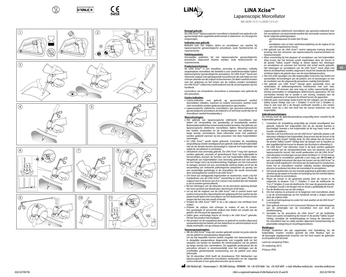

Safety Guard .<br>J Cut 2

'n

















## **LiNA Xcise™** Laparoscopic Morcellator

Ref: MOR-1515-1-I, MOR-1515-6-

### **Beoogd gebruik:**

<u>De Lina voor die Lina</u><br>De LiNA Xcise™ laparoscopische morcellator is bedoeld voor gebruik in de gynaecologie door opgeleide professionals in ziekenhuis- en chirurgische omgevingen.

### **Indicaties voor gebruik:**

Bedoeld voor het snijden, delen en verwijderen van weefsel bij laparoscopische gynaecologische procedures, zoals hysterectomie en myomectomie.

### **Patiëntpopulatie:**

Vrouwelijke patiënten bij wie laparoscopische gynaecologische procedures uitgevoerd moeten worden, zoals hysterectomie en myomectomie.

### **Productomschrijving:**

De LiNA Xcise™ is een draadloze, eenmalig te gebruiken, volledig wegwerpbare morcellator die bedoeld is voor weefselmorcellatie tijdens laparoscopische gynaecologische procedures. De LiNA Xcise™ bevat een roterende snijbuis met geïntegreerde trocartfunctie die ook helpt om het scherpe uiteinde van de snijbuis te beschermen. De delen weefsel moeten met een grijptang via het lumen van de snijbuis worden verwijderd. De LiNA Xcise™-snijfunctie wordt bediend met de activeringstoets op het handstuk.

Levensduur van stroombron: stroombron is ontworpen voor gebruik bij één procedure.

### **Contra-indicaties:**

- Contra-indicaties voor gebruik op gevasculariseerd weefsel (eierstokken, eileiders, myomen en andere structuren): weefsel moet vóór morcellatie worden gedevasculariseerd en gescheiden.
- • Laparoscopische elektrische morcellators zijn gecontra-indiceerd bij gynaecologische procedures als bekend is of vermoed wordt dat het te morcelleren weefsel kwaadaardig is.

### **Waarschuwingen:**

- • Het gebruik van laparoscopische elektrische morcellators kan leiden tot verspreiding van goedaardig of kwaadaardig weefsel. Baarmoederweefsel kan onvermoede kanker bevatten. Het gebruik van laparoscopische elektrische morcellators tijdens fibroomprocedures kan kanker verspreiden en de overlevingskans van patiënten op lange termijn verminderen. Deze informatie moet met patiënten worden gedeeld wanneer zij een procedure met deze hulpmiddelen overwegen.
- • De LiNA Xcise™ wordt steriel geleverd. Controleer de verpakking zorgvuldig op schade voorafgaand aan gebruik. Gebruik het hulpmiddel niet als de steriele barrière beschadigd is. Gebruik het hulpmiddel niet nadat de vervaldatum is verstreken.
- • Uitsluitend voor eenmalig gebruik. De LiNA Xcise™ mag niet opnieuw worden gebruikt, verwerkt of gesteriliseerd. Door het hulpmiddel te herverwerken, kunnen de functies van het hulpmiddel defect raken. Hergebruik van hulpmiddelen voor eenmalig gebruik kan ook leiden tot een hoger risico op kruisbesmetting. Pogingen om het instrument te reinigen, kunnen tot een verminderde werking leiden en/of tot de verzameling van verkeerde pathologische preparaten als gevolg van een aanzienlijke gaslekkage in de morcellator die wordt veroorzaakt door achtergebleven weefsel in de LiNA Xcise™.
- • Om letsel aan omliggende ingewanden te voorkomen, moet u bij het manipuleren van de LiNA Xcise™ voorzichtig te werk gaan. Plaats de snijpunt niet in de buurt van of in contact met weefsel dat niet bedoeld is om te worden gemorcelleerd.
- Bij het inbrengen van de obturator via de percutane opening bestaat
- het risico op letsel aan bloedvaten, darmlussen of de blaas. • Let op dat de snijpunt van de LiNA Xcise™ niet in contact komt met andere instrumenten, bijvoorbeeld een grijptang die het weefsel op zijn plaats houdt tijdens het morcelleren van het doelweefsel. Dit kan ervoor zorgen dat het mes bot wordt of breekt.
- • Schakel de LiNA Xcise™ NIET in als u de snijpunt niet zichtbaar kunt maken.
- Probeer de snijbuis niet scherper te maken of aan te passen. Een gewijzigde of vervormde snijbuis kan leiden tot schade aan de patiënt, de chirurg of de apparatuur.
- • Oefen geen overmatige kracht uit terwijl u de LiNA Xcise™ gebruikt. Dit kan het product beschadigen.
- Het product en de verpakking dienen na gebruik te worden afgevoerd overeenkomstig het beleid van het ziekenhuis en administratieve en/of lokale overheden. Let op scherpe randen.

### **Voorzorgsmaatregelen:**

• NB: de LiNA Xcise™ mag niet worden gebruikt zonder de juiste selectie van de patiënt en preoperatieve diagnostiek.

Let op dat bepaalde soorten kanker mogelijk niet detecteerbaar zijn in dergelijke preoperatieve diagnostiek, wat mogelijk leidt tot het uitzaaien van kanker en daardoor de overlevingskans van de patiënt op lange termijn kan verminderen. De opgeleide professional die de procedure uitvoert, is verantwoordelijk voor het verkrijgen van de schriftelijke geïnformeerde toestemming van de patiënt over deze informatie.

Op 30 december 2020 heeft de Amerikaanse FDA fabrikanten van laparoscopische elektrische morcellators aanbevolen om de volgende contra-indicatie in hun gebruiksinstructies op te nemen:

Laparoscopische elektrische morcellators zijn gecontra-indiceerd voor het verwijderen van baarmoederweefsel dat vermoede myomen bevat bij de volgende patiëntgroepen: - postmenopauzaal of ouder dan 50 jaar,

of - kandidaten voor en bloc weefselverwijdering via de vagina of via een mini-laparotomie-incisie.

- • Het gebruik van de LiNA Xcise™ vereist adequate training alsmede ervaring met het uitvoeren van laparoscopische myomectomieën en hysterectomieën.
- • Wees voorzichtig bij het plaatsen of verwijderen van het hulpmiddel. Zorg ervoor dat het lemmet wordt ingetrokken door de trocart in de positie "Safety Guard" (Veilig) te zetten tijdens het inbrengen en verwijderen en wanneer het lemmet niet actief wordt gebruikt. Het inbrengen en verwijderen van de LiNA Xcise™ moet altijd met directe zichtbaarheid worden uitgevoerd. Houd het draaiende lemmet zichtbaar tijdens de gehele duur van de morcellatieprocedure.
- • Het niet strikt opvolgen van alle toepasselijke instructies kan leiden tot aanzienlijke verwondingen aan de patiënt, arts of aanwezigen en kan de resultaten van de uitgevoerde procedures nadelig beïnvloeden.
- • Het gebruik van LiNA Xcise™ brengt geen aanzienlijk risico op wederzijdse of elektromagnetische interferentie met zich mee. LiNA Xcise™ RF-emissies zijn zeer laag en zullen waarschijnlijk geen storing veroorzaken in nabijgelegen elektronische apparatuur. Als het vermoeden bestaat dat er sprake is van storing, verplaats dan de storende apparatuur of vergroot de afstand tussen de apparaten.
- • Gebruik geen overmatige axiale kracht bij het wijzigen van de positie Safety Guard (Veilig) naar Cut 1 (Snijden 1) en/of Cut 2 (Snijden 2). Zorg er ook voor dat u de beugel vasthoudt voordat u van modus wisselt, want als u dat niet doet kan de trocart loskomen van het hulpmiddel.

**<u>Gebruiksaanwijzingen:</u>**<br>De chirurg moet de gebruiksaanwijzing zorgvuldig lezen voordat hij dit<br>hulpmiddel gebruikt.

- 1. Controleer de verpakking zorgvuldig op schade voorafgaand aan gebruik. Gebruik het hulpmiddel niet als de steriele barrière is beschadigd. Voordat u het hulpmiddel uit de tray haalt, moet u de houder verwijderen.
- 2. Voordat u de trocartfunctie van de LiNA Xcise™ gebruikt, plaatst u de obturator volledig in het hulpmiddel. Zorg ervoor dat de trocart in de positie "Safety Guard" (Veilig) staat. Zo niet, plaats dan de trocart in de positie "Safety Guard" (Veilig) door de beugel vast te houden en dan tegelijkertijd de trocart te draaien *(zie illustratie in afbeelding 2)*.
- 3. De LiNA Xcise™ met obturator moet in de buik worden geplaatst met behulp van de standaardtechniek voor het plaatsen van een laparoscopische trocart. Het wordt aanbevolen om de LiNA Xcise™ met obturator in te brengen via een direct zichtbare 12-14 mm incisie.
- 4. Om weefsel te verwijderen, gebruikt u een tang van **10-12 mm** of een soortgelijk instrument dat door het lumen van de LiNA Xcise™ in de buik wordt ingebracht. Om letsel aan de buikwand te voorkomen, moet het te morcelleren weefsel volledig worden blootgelegd alvorens te proberen het door de morcellator te verwijderen.
- Het wordt aanbevolen om een tweede grijptang te gebruiken om het weefsel op zijn plaats te houden en beweging van het weefsel tijdens de morcellatie te verminderen.
- 6. Plaats de trocart in de gewenste positie door de trocart in de snijpositie te draaien: "Cut 1" (Snijden 1) voor de trekfunctie en "Cut 2" (Snijden 2) voor de deelfunctie. Om naar de gewenste positie te wijzigen, houdt u de beugel vast en draait u gelijktijdig de trocart. Pas de deelfunctie aan als dat nodig is.
- 8. Om het snijmes te activeren en te beginnen met morcelleren, drukt u op de activeringsknop op het handstuk terwijl u stukjes weefsel door de snijbuis trekt.
- 9. Laat de activeringsknop los zodra het stuk weefsel uit de LiNA Xcise™ is verwijderd.
- 10. Voor gebruik met een 5 mm instrument: Monteer de verkleiningskap aan de achterzijde van de morcellator met een druk- en draaibeweging.
- 11. Verwijder na de procedure de LiNA Xcise™ uit de buikholte. Draai voor juiste verwijdering de trocart in de positie "Safety Guard" (Veilig), verwijder de verkleiningskap en breng de obturator in. De morcellator kan nu veilig worden afgevoerd overeenkomstig de plaatselijke wetgeving en recyclingprocedures.

### **Meldingen:**

Ernstige incidenten die zijn opgetreden met betrekking tot dit hulpmiddel, moeten worden gemeld bij LiNA Medical ApS en de bevoegde regelgevende instantie van het land waarin de gebruiker en/of patiënt zich bevindt.

Land van oorsprong: Polen.

CE-markering: 2015. IP-klasse: IPX0.

LiNA Medical ApS - Formervangen 5 - DK-2600 Glostrup - DENMARK - Tel: +45 4329 6666 - Fax: +45 4329 6699 - e-mail: info@lina-medical.com - www.lina-medical.com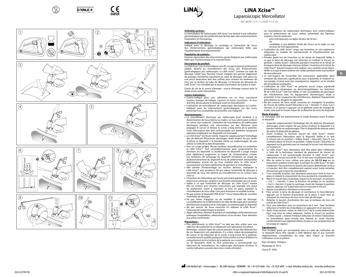













## **LiNA Xcise™** Laparoscopic Morcellator

Ref: MOR-1515-1-I, MOR-1515-6-

### **Utilisation prévue :**

Safety Guard .<br>J Cut 2

'n

Le morcellateur de cœlioscopie LiNA Xcise™ est destiné à une utilisation gynécologique par des professionnels formés dans des environnements hospitaliers et chirurgicaux.

### **Indications d'utilisation :**

Indiqué pour la découpe, le carottage et l'extraction de tissus lors d'interventions gynécologiques par cœlioscopie telles que l'hystérectomie et la myomectomie.

### **Population de patients :**

Femmes nécessitant des interventions gynécologiques par cœlioscopie telles que l'hystérectomie et la myomectomie.

### **Description du produit :**

Le LiNA Xcise™ est un morcellateur sans fil, à usage unique et entièrement jetable, destiné au morcellement des tissus lors d'interventions gynécologiques par cœlioscopie. Le LiNA Xcise™ contient un tube de découpe rotatif avec fonction trocart intégrée qui permet également de protéger l'extrémité tranchante du tube de découpe. Une pince ou une pince tenaculum doit être utilisée pour extraire les lambeaux de tissu par la lumière du tube de découpe. La fonction de découpe du LiNA Xcise™ est contrôlée par le bouton d'activation de la pièce à main.

Durée de vie de la source d'énergie : source d'énergie conçue pour la durée d'une seule intervention.

### **Contre-indications :**

- Contre-indiqué pour une utilisation sur un tissu vascularisé (ovaires, trompes de Fallope, myomes et autres structures) : le tissu doit être dévascularisé et disséqué avant le morcellement.
- • L'utilisation de morcellateurs de cœlioscopie électriques est contreindiquée pour les interventions gynécologiques sur des tissus présentant ou susceptibles de présenter une malignité.

### **Avertissements :**

- Le morcellement électrique par cœlioscopie peut conduire à la dissémination de tissus bénins ou malins. Le tissu utérin peut contenir un cancer non suspecté. L'utilisation de morcellateurs de cœlioscopie électriques pendant une intervention sur des fibromes peut propager le cancer et réduire la survie à long terme de la patiente. Cette information doit être communiquée aux patientes lorsqu'une opération impliquant ces dispositifs est envisagée.
- • Le LiNA Xcise™ est fourni stérile. Inspecter soigneusement l'emballage afin de détecter d'éventuels dommages avant emploi. Ne pas tenter d'utiliser le dispositif si la barrière stérile est endommagée. Ne pas utiliser au-delà de la date d'expiration.
- • Pour un usage unique. Ne pas réutiliser, reconditionner ou restériliser le LiNA Xcise™. Tout reconditionnement peut compromettre les fonctions du dispositif. La réutilisation du dispositif à usage unique peut également augmenter le risque de contamination croisée. Les tentatives de nettoyage du dispositif entraînent un risque de dysfonctionnement du dispositif et/ou de prélèvement d'échantillon pathologique erroné dû au tissu résiduel dans le LiNA Xcise™ occasionnant une fuite significative de gaz dans le morcellateur.
- • Afin d'éviter d'endommager les viscères alentour, manipuler le LiNA Xcise™ avec prudence. Ne pas placer l'extrémité de découpe à proximité du tissu non destiné au morcellement ou en contact avec celui-ci.
- • L'insertion de l'obturateur par l'accès percutané présente un risque de lésions aux vaisseaux sanguins, aux boucles intestinales ou à la vessie.
- • Veiller à ce que l'extrémité de découpe du LiNA Xcise™ n'entre PAS en contact avec d'autres instruments, par exemple une pince
- de préhension visant à maintenir le tissu en place pendant le morcellement du tissu cible. Cela peut émousser ou écailler la lame.
- Ne pas activer le dispositif LiNA Xcise™ s'il est impossible de visualiser l'extrémité de découpe.
- • Ne pas tenter d'aiguiser ou de modifier le tube de découpe. La modification ou la déformation du tube de découpe peut entraîner des blessures au patient et au chirurgien, ou endommager le dispositif. • Ne pas exercer de force excessive en utilisant le LiNA Xcise™.
- Cela pourrait endommager le produit. • Après utilisation, éliminer le produit et l'emballage conformément aux
- politiques hospitalières, administratives et/ou locales. Faire attention .<br>aux arêtes tranchantes.

### **Précautions :**

<u>• Plus précisément</u>, le LiNA Xcise™ ne doit pas être utilisé sans une sélection des patientes et un diagnostic pré-opératoire minutieux. Remarque : certains types de cancers peuvent ne pas être détectés lors de ces diagnostics pré-opératoires. Il y a donc risque de propagation du cancer et de réduction de la survie à long terme de la patiente. Le professionnel qualifié pratiquant l'intervention est tenu d'obtenir le consentement écrit et éclairé de la patiente sur ce point.

Le 30 décembre 2020, la FDA américaine a recommandé aux fabricants de morcellateurs de cœlioscopie électriques d'inclure la contre-indication suivante dans leurs modes d'emploi :

Les morcellateurs de cœlioscopie électriques sont contre-indiqués pour le prélèvement de tissus utérins présentant des fibromes suspects chez les patientes :

- post-ménopausées ou âgées de plus de 50 ans ;

ou - candidates à une ablation totale des tissus via le vagin ou une incision de mini-laparotomie.

- • L'utilisation du LiNA Xcise™ exige une formation et une expérience adéquates en matière de myomectomie et d'hystérectomie par cœlioscopie.
- • Prendre garde lors de l'insertion ou du retrait du dispositif. Veiller à ce que la lame de découpe soit rétractée en mettant le trocart en position « Safety Guard » (Sécurité) pendant l'insertion et le retrait, et lorsque la lame de découpe n'est pas utilisée. L'insertion et le retrait du LiNA Xcise™ doivent toujours être réalisés sous contrôle visuel direct. Veiller à ce que la lame rotative soit visible pendant toute la procédure de morcellement.
- • Le non-respect de l'ensemble des instructions applicables peut entraîner des blessures significatives pour la patiente, le médecin ou son équipe, et peut avoir des conséquences négatives sur le résultat des procédures pratiquées.

**fr**

- • L'utilisation de LiNA Xcise™ ne présente aucun risque significatif d'interférences réciproques ou électromagnétiques. Les émissions RF du LiNA Xcise™ sont très faibles et non susceptibles de provoquer des interférences avec les équipements électroniques situés à proximité. Si l'on soupçonne des interférences, déplacer l'équipement perturbateur ou éloigner les appareils.
- Ne pas exercer de force axiale excessive en changeant la position du trocart de Safety Guard (Sécurité) à Cut 1 (Section 1) et/ou Cut 2 (Section 2), et penser à appuyer sur la gâchette avant de changer de mode, sans quoi le trocart risque de se détacher du reste du dispositif.

### **Mode d'emploi :**

Le chirurgien doit lire attentivement le mode d'emploi avant d'utiliser ce dispositif.

- 1. Inspecter soigneusement l'emballage afin de détecter d'éventuels dommages avant emploi. Ne pas tenter d'utiliser le dispositif si la barrière stérile est endommagée. Ôter le dispositif de retenue avant de retirer le dispositif du plateau.
- 2. Avant d'utiliser la fonction trocart du LiNA Xcise™, insérer complètement l'obturateur dans le dispositif. Veiller à ce que le trocart soit en position « Safety Guard » (Sécurité). Dans le cas contraire, placer le trocart en position « Safety Guard » (Sécurité), en appuyant sur la gâchette tout en tournant le trocart *(voir illustration sur la photo 2)*.
- 3. Le LiNA Xcise™ avec obturateur doit être placé dans l'abdomen à l'aide de la technique standard de placement de trocart de cœlioscopie. Il est recommandé d'insérer le LiNA Xcise™ avec obturateur via une incision de 12 à 14 mm sous visualisation directe.
- 4. Afin de retirer le tissu, utiliser une pince de **10–12 mm** ou un instrument similaire inséré dans la lumière du LiNA Xcise™ et dans l'abdomen. Pour prévenir les lésions de la paroi abdominale, le tissu à morceler doit être complètement exposé avant toute tentative d'extraction par le biais du morcellateur.
- Il est conseillé d'utiliser une deuxième pince pour tenir le tissu en place et réduire le mouvement du tissu pendant le morcellement. 6. Placer le trocart dans la position requise en le tournant : en position
- « Cut 1 » (Section 1) pour la fonction de pelage ou en position « Cut 2 » (Section 2) pour le carottage. Avant de changer la position requise, appuyer sur la gâchette tout en tournant le trocart. Ajuster la protection d'embout si nécessaire.
- Pour activer la lame de découpe et commencer le morcellement, appuyer sur le bouton d'activation de la pièce à main tout en extrayant les morceaux de tissu via le tube de découpe.
- 9. Relâcher le bouton d'activation dès que le lambeau de tissu est extrait du LiNA Xcise™.
- 10. Pour une utilisation avec un instrument de 5 mm · fixer l'embout réducteur à l'arrière du morcellateur en appuyant et en tournant.
- 11. Après l'intervention, retirer le LiNA Xcise™ de la cavité abdominale. Pour une mise au rebut adéquate, mettre le trocart en position « Safety Guard », enlever l'embout réducteur et insérer l'obturateur. Le morcellateur peut ensuite être éliminé en toute sécurité, conformément aux réglementations locales et aux programmes de recyclage en vigueur.

### **Signalement :**

Tout incident grave qui surviendrait dans le cadre de l'utilisation de ce dispositif devra être signalé à LiNA Medical ApS et aux autorités réglementaires compétentes du pays dans lequel se trouvent l'utilisateur et/ou le patient.

Pays d'origine : Pologne. Marquage CE 2015. Classe IP : IPX0.

d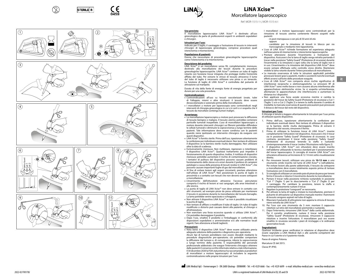











Cut 2 Cut 1 'n



## **LiNA Xcise™ LiNA Xcise™** Morcellatore laparoscopico

Ref: MOR-1515-1-I, MOR-1515-6-

### **Uso previsto:**

Safety Guard .<br>J Cut 2 Il morcellatore laparoscopico LiNA Xcise™ è destinato all'uso ginecologico da parte di professionisti esperti in ambienti ospedalieri e chirurgici.

### **Istruzioni per l'uso:**

Indicato per il taglio, il carotaggio e l'estrazione di tessuto in interventi chirurgici di laparoscopia ginecologica, comprese procedure quali isterectomia e miomectomia.

### **Popolazione di pazienti:**

Donne che necessitano di procedure ginecologiche laparoscopiche come l'isterectomia e la miomectomia.

### **Descrizione del prodotto:**

LiNA Xcise™ è un morcellatore senza fili, completamente monouso, destinato alla morcellazione dei tessuti durante le procedure ginecologiche laparoscopiche. LiNA Xcise™ contiene un tubo di taglio rotante con funzione trocar integrata che protegge inoltre l'estremità affilata del tubo. Per estrarre le strisce di tessuto attraverso il lume del tubo di taglio è necessario utilizzare una pinza o un tenacolo. La funzione di taglio di LiNA Xcise™ è controllata dal pulsante di attivazione sul manipolo.

Durata di vita della fonte di energia: fonte di energia progettata per durare per una sola procedura.

### **Controindicazioni:**

- • Controindicazioni all'uso su tessuti vascolarizzati (ovaie, tube di Falloppio, miomi e altre strutture): il tessuto deve essere devascolarizzato e sezionato prima della morcellazione.
- I morcellatori a motore per laparoscopia sono controindicati negli interventi di chirurgia ginecologica in cui si è certi o si sospetta che il tessuto da morcellare contenga tumori maligni.

### **Avvertenze:**

- La morcellazione laparoscopica a motore può provocare la diffusione di tessuto benigno o maligno. Il tessuto uterino potrebbe contenere particelle tumorali inaspettate. L'uso di morcellatori laparoscopici a motore durante interventi chirurgici sui fibromi potrebbe diffondere le cellule tumorali e diminuire la sopravvivenza a lungo termine delle pazienti. Tale informazione deve essere condivisa con le pazienti quando viene ipotizzato un intervento chirurgico da eseguire con questi dispositivi.
- • LiNA Xcise™ è fornito sterile. Prima dell'uso, ispezionare attentamente la confezione per individuare eventuali danni. Non tentare di utilizzare il dispositivo se la barriera sterile risulta danneggiata. Non utilizzare oltre la data di scadenza.
- Esclusivamente monouso. Non riutilizzare, rigenerare o risterilizzare il dispositivo LiNA Xcise™. Qualsiasi trattamento può impedire il funzionamento di questo dispositivo. Inoltre, il riutilizzo di dispositivi monouso potrebbe aumentare il rischio di contaminazione crociata. I tentativi di pulitura del dispositivo possono causare problemi di funzionamento dello stesso e/o errori durante il prelievo di campioni patologici a causa della presenza di tessuti residui in LiNA Xcise™, che possono causare importanti fughe di gas dal morcellatore.
- Al fine di evitare lesioni agli organi circostanti, prestare attenzione nell'utilizzo di LiNA Xcise™. Non posizionare la punta di taglio in prossimità o a contatto con tessuti che non devono essere sottoposti a morcellazione.
- • L'inserimento dell'otturatore attraverso l'accesso percutaneo comporta il rischio di lesioni ai vasi sanguigni, alle anse intestinali o alla vescica.
- • La punta di taglio di LiNA Xcise™ non deve entrare in contatto con altri strumenti, ad esempio pinze da presa utilizzate per mantenere il tessuto in posizione durante la morcellazione del tessuto bersaglio. La lama potrebbe venire opacizzata o scheggiata.
- • Non attivare il dispositivo LiNA Xcise™ se non è possibile visualizzare la punta di taglio.
- • Non tentare di affilare o modificare il tubo di taglio. Un tubo di taglio modificato o distorto può causare danni alla paziente, al chirurgo o all'attrezzatura.
- Non esercitare una forza eccessiva quando si utilizza LiNA Xcise™. Ciò potrebbe danneggiare il prodotto.
- • Dopo l'uso, smaltire il prodotto e l'imballaggio in conformità alle disposizioni ospedaliere e amministrative e/o alle normative locali vigenti. Fare attenzione ai bordi taglienti.

### **Precauzioni:**

• Nota bene: il dispositivo LiNA Xcise™ deve essere utilizzato previa adeguata selezione della paziente e diagnostica pre-operatoria.

Alcuni tipi di tumore potrebbero non essere rilevabili mediante le procedure diagnostiche pre-operatorie; ciò potrebbe comportare la diffusione del tumore e, di conseguenza, ridurre la sopravvivenza a lungo termine della paziente. È responsabilità del personale professionale addestrato che esegue l'intervento chirurgico ottenere dalle pazienti il consenso scritto informato relativo a tale informazione. Il 30 dicembre 2020 la FDA statunitense ha raccomandato ai produttori di morcellatori a motore laparoscopici di includere la seguente controindicazione nelle proprie Istruzioni per l'uso:

I morcellatori a motore laparoscopici sono controindicati per la rimozione di tessuto uterino contenente fibromi sospetti nelle pazienti:

### - in post-menopausa o con più di 50 anni di età

oppure - candidate per la rimozione di tessuti in blocco per via transvaginale o mediante mini-laparotomia.

- • L'uso di LiNA Xcise™ richiede formazione ed esperienza adeguata nell'esecuzione di miomectomie e isterectomie laparoscopiche.
- • Prestare attenzione durante l'inserimento o l'estrazione del dispositivo. Assicurarsi che la lama di taglio venga retratta portando il trocar nella posizione "Safety Guard" (Protezione di sicurezza) durante l'inserimento e la rimozione e ogni volta che la lama di taglio non è in uso. L'inserimento e la rimozione del dispositivo LiNA Xcise™ deve essere sempre effettuata sotto controllo visivo diretto. Mantenere visibile la lama rotante durante l'intera procedura di morcellazione.
- • La mancata osservanza di tutte le istruzioni applicabili potrebbe provocare lesioni gravi a pazienti, medici o assistenti nonché eventuali effetti avversi sull'esito delle procedure eseguite.
- • L'uso di LiNA Xcise™ non comporta alcun rischio significativo di interferenze reciproche o elettromagnetiche. Le emissioni RF di LiNA Xcise™ sono molto basse e non causano alcuna interferenza alle apparecchiature elettroniche vicine. Se si sospetta un'interferenza, allontanare le apparecchiature che interferiscono o aumentare la distanza tra i dispositivi.

**it**

• Non applicare una forza assiale eccessiva mentre si cambia la posizione del trocar da Safety Guard (Protezione di sicurezza) a Cut 1 (Taglio 1) e/o a Cut 2 (Taglio 2) e tenere la staffa durante il cambio di modalità; la mancata osservanza di queste precauzioni può provocare il distacco del trocar dal resto del dispositivo.

### **Istruzioni per l'uso:**

Il chirurgo è tenuto a leggere attentamente le Istruzioni per l'uso prima di utilizzare questo dispositivo.

- 1. Prima dell'uso, ispezionare attentamente la confezione per individuare eventuali danni. Non tentare di utilizzare il dispositivo se la barriera sterile risulta danneggiata. Prima di estrarre il dispositivo dal vassoio, rimuovere il fermo.
- 2. Prima di utilizzare la funzione trocar di LiNA Xcise™, inserire completamente l'otturatore nel dispositivo. Assicurarsi che il trocar sia in posizione "Safety Guard" (Protezione di sicurezza). In caso contrario, posizionare il trocar nella posizione "Safety Guard" (Protezione di sicurezza) tenendo la staffa e ruotando contemporaneamente il trocar *(vedere l'illustrazione nella figura 2)*.
- 3. Il dispositivo LiNA Xcise™ con otturatore deve essere inserito nell'addome utilizzando la tecnica standard per il posizionamento del trocar laparoscopico. Si consiglia di inserire LiNA Xcise™ con otturatore attraverso un'incisione di 12-14 mm sotto visualizzazione diretta.
- 4. Per rimuovere tessuti, utilizzare una pinza da **10-12 mm** o uno strumento simile inserito nel lume di LiNA Xcise™ e nell'addome. Per evitare lesioni alla parete addominale, il tessuto da sottoporre a morcellazione deve essere totalmente esposto prima di tentare l'estrazione con il morcellatore.
- 5. Si consiglia di utilizzare un secondo paio di pinze da presa per tenere fermo il tessuto e ridurne il movimento durante la morcellazione.
- Portare il trocar nella posizione richiesta ruotandolo in posizione "Cut 1" (Taglio 1) per lo sbucciamento o "Cut 2" (Taglio 2) per il carotaggio. Per cambiare la posizione, tenere la staffa e contemporaneamente ruotare il trocar.
- 7. Regolare la protezione "coreguard" se necessario.
- 8. Per attivare la lama di taglio e iniziare la morcellazione, premere il pulsante di attivazione sul dispositivo manuale mentre i frammenti di tessuto vengono aspirati nel tubo di taglio. 9. Rilasciare il pulsante di attivazione non appena la striscia di tessuto
- viene estratta da LiNA Xcise™.
- 10. Per l'uso con uno strumento da 5 mm: montare il cappuccio riduttore sul retro del morcellatore premendo e ruotando.
- 11. Dopo l'intervento, rimuovere LiNA Xcise™ dalla cavità addominale. Per il corretto smaltimento, ruotare il trocar nella posizione "Safety Guard" (Protezione di sicurezza), rimuovere il cappuccio riduttore e inserire l'otturatore. Il morcellatore può ora essere smaltito in sicurezza secondo i piani di riciclaggio e le ordinanze governative locali.

### **Segnalazioni:**

Qualsiasi incidente grave verificatosi in relazione al dispositivo deve essere segnalato a LiNA Medical ApS e alle autorità competenti del Paese in cui l'utente e/o il paziente risiede.

Paese di origine: Polonia.

Marcatura CE del 2015. Classe IP: IPX0.

LiNA Medical ApS - Formervangen 5 - DK-2600 Glostrup - DENMARK - Tel: +45 4329 6666 - Fax: +45 4329 6699 - e-mail: info@lina-medical.com - www.lina-medical.com

d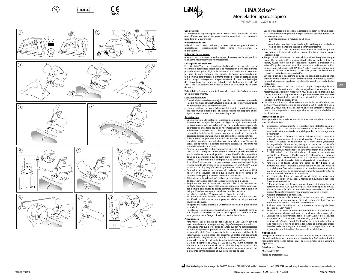

Safety Guard .<br>J Cut 2

'n













## **LiNA Xcise™ LiNA Xcise™**

Morcelador laparoscópico

Ref: MOR-1515-1-I, MOR-1515-6-

### **Uso previsto:**

<u>ecoprenses</u> ginecológico por parte de profesionales capacitados en entornos hospitalarios y quirúrgicos.

### **Indicaciones de uso:**

Indicado para cortar, perforar y extraer tejido en procedimientos laparoscópicos tales como histerectomías miomectomías.

### **Población de pacientes:**

Mujeres que requieren procedimientos ginecológicos laparoscópicos tales como histerectomías y miomectomías.

### **Descripción del producto:**

El LiNA Xcise™ es un morcelador inalámbrico, de un solo uso y totalmente desechable, destinado a la morcelación de tejidos durante procedimientos ginecológicos laparoscópicos. El LiNA Xcise™ contiene un tubo de corte giratorio con función de trocar incorporada que también sirve para proteger el extremo afilado del tubo de corte. Se debe utilizar una pinza de agarre o una pinza de tenáculo para sacar las franjas de tejido a través del lumen del tubo de corte. La función de corte del LiNA Xcise™ se controla mediante el botón de activación de la pieza de mano.

Vida útil de la fuente de energía: fuente de energía diseñada para durar un solo procedimiento.

### **Contraindicaciones:**

- • Contraindicaciones de uso en tejido vascularizado (ovarios, trompas de Falopio, miomas y otras estructuras): el tejido debe ser desvascularizado y diseccionado antes de la morcelación.
- • Los morceladores de potencia laparoscópica están contraindicados en aquellas cirugías ginecológicas en las que se sabe o se sospecha que el tejido que se va a morcelar contiene malignidad.

### **Advertencias:**

- • La morcelación de potencia laparoscópica puede conducir a la diseminación de tejido benigno o maligno. El tejido uterino puede contener un cáncer insospechado. El uso de morceladores de potencia laparoscópica durante la cirugía de fibromas puede propagar el cáncer y disminuir la supervivencia a largo plazo de los pacientes. Se debe compartir esta información con los pacientes cuando se considere la posibilidad de realizar una cirugía con el uso de estos dispositivos.
- El LiNA Xcise™ se proporciona estéril. Inspeccione detenidamente el embalaje para detectar cualquier daño antes de su uso. No intente utilizar el dispositivo si la barrera estéril está dañada. No lo use una vez
- pasada la fecha de caducidad. • Para un solo uso. No reutilice, reprocese ni reesterilice el dispositivo LiNA Xcise™. Cualquier procesamiento adicional puede impedir el funcionamiento de este dispositivo. La reutilización de dispositivos de un solo uso también puede aumentar el riesgo de contaminación cruzada. Si se intenta limpiar el dispositivo se corre el riesgo de que el dispositivo funcione mal o de que se recoja una muestra de patología errónea debido a la presencia de tejido residual en LiNA Xcise™, lo que provocaría una fuga significativa de gas a través del morcelador.
- Para evitar lesiones en las vísceras circundantes, manipule el LiNA Xcise™ con precaución. No coloque la punta de corte cerca o en contacto con tejido que no esté destinado a morcelarse.
- • Al insertar el obturador a través del acceso percutáneo, existe el riesgo de dañar los vasos sanguíneos, las asas intestinales o la vejiga.
- • Asegúrese de que la punta de corte del LiNA Xcise™ no esté en contacto con otros instrumentos mientras se morcela el tejido objetivo: por ejemplo, con pinzas de agarre destinadas a mantener el tejido en su lugar. Puede causar que la cuchilla se desafile o se parta.
- • No active el LiNA Xcise™ si no puede ver la punta de corte.
- • No intente afilar o modificar el tubo de corte. Un tubo de corte modificado o deformado puede provocar daños en el paciente, el cirujano o el equipo.
- • No ejerza una fuerza excesiva al utilizar LiNA Xcise™. Esto podría dañar el producto.
- • Tras el uso del dispositivo, se han de eliminar tanto el producto como su embalaje de acuerdo con las normas del hospital, de la administración y del gobierno local. Tenga cuidado con los bordes afilados.

### **Precauciones:**

<u>• Para mayor aclaración, no se debe utilizar el LiNA Xcise™ sin una</u> selección adecuada de los pacientes y diagnósticos preoperatorios. Tenga en cuenta que ciertos tipos de cáncer pueden no ser detectables en tales diagnósticos preoperatorios, lo que podría conducir a la propagación del cáncer y, por lo tanto, reducir potencialmente la supervivencia a largo plazo del paciente. El profesional capacitado que realice la cirugía es el responsable de obtener el consentimiento informado por escrito del paciente sobre esta información.

El 30 de diciembre de 2020, la FDA de EE. UU (Administración de Alimentos y Medicamentos de los Estados Unidos) recomendó a los fabricantes de morceladores de potencia laparoscópica que incluyeran la siguiente contraindicación en sus instrucciones de uso:

Los morceladores de potencia laparoscópica están contraindicados para la extracción de tejido uterino que contenga posibles fibromas en pacientes que sean:

- posmenopáusicas o mayores de 50 años,

- o candidatas para la extirpación de tejido en bloque a través de la vagina o mediante una incisión de minilaparotomía.
- • Para usar el LiNA Xcise™, es importante conocer el producto y tener experiencia a la hora de realizar miomectomías e histerectomías laparoscópicas.
- • Tenga cuidado al insertar o extraer el dispositivo. Asegúrese de que la cuchilla de corte esté retraída poniendo el trocar en la posición de «Safety Guard (Protección de seguridad)» durante la inserción y la extracción y siempre que la cuchilla de corte no esté en uso activo. La inserción y extracción del LiNA Xcise™ deben realizarse siempre bajo control visual directo. Mantenga la cuchilla giratoria visible durante todo el procedimiento de morcelación.
- $\bullet$  Si no se siguen de forma estricta las instrucciones aplicables, el paciente, el médico o los asistentes podrían sufrir lesiones significativas, además de producirse un efecto adverso en el resultado de los procedimientos realizados.
- El uso del LiNA Xcise™ no presenta ningún riesgo significativo de interferencia recíproca o electromagnética. Las emisiones de radiofrecuencia del LiNA Xcise™ son muy bajas y es improbable que causen interferencia alguna en los equipos electrónicos cercanos. Si se sospecha que hay interferencia, aleje el equipo interferente o aumente la distancia entre los dispositivos.

**es**

• No utilice una fuerza axial excesiva al cambiar la posición del trocar, de Safety Guard (Protección de seguridad) a Cut 1 (Corte 1) o Cut 2 (Corte 2), y recuerde sujetar el soporte antes de cambiar el modo, ya que no hacerlo puede provocar que el trocar se desprenda del resto del dispositivo.

### **Instrucciones de uso:**

El cirujano debe leer cuidadosamente las instrucciones de uso antes de usar este dispositivo.

- 1. Inspeccione detenidamente el embalaje para detectar cualquier daño antes de su uso. No intente utilizar el dispositivo si la barrera estéril está dañada. Antes de sacar el dispositivo de la bandeja, quite el retenedor.
- 2. Antes de usar la función de trocar del LiNA Xcise™, inserte el obturador completamente en el dispositivo. Asegúrese de que el trocar se coloca en la posición de «Safety Guard (Protección de seguridad)». Si no es así, coloque el trocar en la posición «Safety Guard (Protección de seguridad)» sujetando el soporte y luego gire simultáneamente el trocar *(ver ilustración en la imagen 2)*.
- 3. El LiNA Xcise™ con obturador debe colocarse en el abdomen mediante la técnica estándar para la colocación de trocares laparoscópicos. Se recomienda insertar el LiNA Xcise™ con obturador a través de una incisión de 12-14 mm bajo visualización directa.
- 4. Para extraer el tejido, utilice una pinza de **10-12 mm** o un instrumento similar insertado a través del lumen del LiNA Xcise™ y en el abdomen. Para evitar lesiones en la pared abdominal, el tejido que se va a morcelar debe estar completamente expuesto antes de intentar extraerlo mediante el morcelador.
- 5. Se recomienda utilizar un segundo par de pinzas de agarre para mantener el tejido en su lugar y reducir el movimiento del tejido durante la morcelación.
- 6. Coloque el trocar en la posición pertinente girándolo hasta la posición de corte: «Cut 1 (Corte 1)» para la función de pelado o «Cut 2 (Corte 2)» para la función de perforado. Antes de cambiar la posición pertinente, sujete el soporte y simultáneamente gire el trocar.
- 7. Ajuste la protección si es necesario.
- Para activar la cuchilla de corte y comenzar a morcelar, presione el botón de activación en la pieza de mano mientras saca los fragmentos de tejido a través del tubo de corte.
- 9. Suelte el botón de activación tan pronto como se extraiga la franja de tejido del LiNA Xcise™.
- 10. Para usarlo con un instrumento de 5 mm: monte la tapa reductora en la parte trasera del morcelador con un movimiento de presión y giro.
- 11. Después de la intervención, retire el LiNA Xcise™ de la cavidad abdominal. Para su correcta eliminación, gire el trocar hasta la posición de «Safety Guard (Protección de seguridad)», retire la tapa reductora e inserte el obturador. Ahora el morcelador puede desecharse de forma segura, de acuerdo con las especificaciones de la normativa administrativa y los planes de reciclaje locales.

### **Notificación:**

Cualquier incidente grave que se haya producido en relación con el dispositivo deberá ser comunicado a LiNA Medical ApS y a la autoridad reguladora competente del país en el que esté establecido el usuario o el paciente.

País de origen: Polonia.

Marcado CE 2015.

Índice de protección: IPX0.

d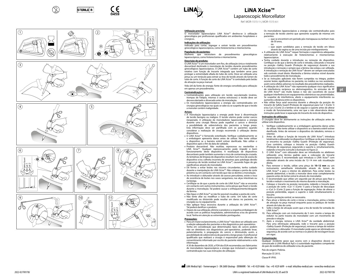













## **LiNA Xcise™** Laparoscopic Morcellator

Ref: MOR-1515-1-I, MOR-1515-6-

### **Utilização prevista:**

O morcelador laparoscópico LiNA Xcise™ destina-se à utilização ginecológica por profissionais qualificados em ambientes hospitalares e cirúrgicos.

### **Indicações de utilização:** Indicado para cortar, segregar e extrair tecido em procedimentos

ginecológicos laparoscópicos, como histerectomia e miomectomia. **População de pacientes:** Mulheres que necessitem de procedimentos ginecológicos laparoscópicos, como histerectomia e miomectomia.

**Descrição do produto:**

O LiNA Xcise™ é um morcelador sem fios, de utilização única e totalmente descartável destinado à morcelação de tecidos durante procedimentos ginecológicos laparoscópicos. O LiNA Xcise™ contém um tubo de corte rotativo com função de trocarte integrada que também serve para proteger a extremidade afiada do tubo de corte. Deve ser utilizada uma pinça ou um tenáculo para extrair as tiras de tecido através do lúmen do tubo de corte. A função de corte do LiNA Xcise™ é controlada pelo botão de ativação na peça manual.

Vida útil da fonte de energia: fonte de energia concebida para utilização em apenas um procedimento.

### **Contraindicações:**

- • Contraindicações para utilização em tecido vascularizado (ovários, trompas de Falópio, miomas e outras estruturas): o tecido deve ser desvascularizado e dissecado antes da morcelação.
- • Os morceladores laparoscópicos a energia são contraindicados em cirurgias ginecológicas nas quais se sabe ou se suspeita de que o tecido a morcelar contém malignidade.

### **Avisos:**

- • A morcelação laparoscópica a energia pode levar à disseminação de tecido benigno ou maligno. O tecido uterino pode conter cancro inesperado. A utilização de morceladores laparoscópicos a energia durante uma cirurgia fibrosa pode espalhar o cancro e diminuir a possibilidade de sobrevivência dos pacientes a longo prazo. Esta informação deve ser partilhada com os pacientes quando considerar a realização de cirurgia recorrendo à utilização destes dispositivos.
- • O LiNA Xcise™ é fornecido esterilizado. Verifique cuidadosamente se a embalagem apresenta danos antes de utilizar. Não tente utilizar o dispositivo se a barreira estéril estiver danificada. Não utilize o dispositivo após o fim da data de validade.
- • Produto descartável. Não reutilize, reprocesse ou reesterilize o LiNA Xcise™. Qualquer reprocessamento pode impedir o bom funcionamento deste dispositivo. A reutilização de dispositivos descartáveis pode também aumentar o risco de contaminação cruzada. As tentativas de limpeza do dispositivo resultam num risco de avaria do dispositivo e/ou colheita incorreta de amostras para patologia devido à presença de tecido residual no LiNA Xcise™, causando fugas de gás significativas através do morcelador.
- • De forma a evitar lesões nas vísceras circundantes, tenha cuidado durante a manipulação do LiNA Xcise™. Não coloque a ponta de corte próximo ou em contacto com tecido que não se destine a morcelação.
- • Ao introduzir o obturador através do acesso percutâneo, existe o risco de ocorrência de lesões nos vasos sanguíneos, nas alças intestinais ou na bexiga.
- • Certifique-se de que a ponta de corte do LiNA Xcise™ não se encontra em contacto com outros instrumentos, como pinças que fixam o tecido durante a morcelação. Tal poderá causar o enfraquecimento/desgaste da lâmina.
- • Não ligue o LiNA Xcise™ se não for possível visualizar a ponta de corte.
- • Não tente afiar ou modificar o tubo de corte. Um tubo de corte modificado ou distorcido pode resultar em danos no paciente, no cirurgião ou no equipamento.
- Não aplique força excessiva durante a utilização do LiNA Xcise™. Tal poderá danificar o produto.
- • Depois da sua utilização, elimine o produto e a respetiva embalagem de acordo com as políticas hospitalares, administrativas e/ou do governo local. Tenha em atenção as extremidades pontiagudas.

### **Precauções:**

Cut 2 Cut 1 'n

Safety Guard .<br>J Cut 2

> <u>• estruções.</u><br>Para um maior esclarecimento, o LiNA Xcise™ não deve ser utilizado sem a seleção adequada dos pacientes e dos diagnósticos pré-operatórios. Tenha em consideração que determinados tipos de cancro podem não ser detetáveis nos diagnósticos pré-operatórios, podendo levar, potencialmente, à propagação do cancro e diminuindo, assim, a possibilidade de sobrevivência do paciente a longo prazo. O profissional qualificado que realizará a cirurgia é responsável pela obtenção do consentimento informado por escrito do paciente relativamente a esta informação.

> A 30 de dezembro de 2020, a FDA dos EUA recomendou aos fabricantes de morceladores laparoscópicos a energia que incluíssem a seguinte contraindicação nas suas instruções de utilização:

Os morceladores laparoscópicos a energia são contraindicados para a remoção de tecido uterino que apresente suspeita de miomas em pacientes:

- que se encontrem em período pós-menopausa ou tenham mais de 50 anos,
- ou — que sejam candidatos para a remoção de tecido em bloco através da vagina ou de uma incisão por minilaparotomia.
- • A utilização do LiNA Xcise™ requer formação e experiência adequadas relativamente à execução de histerectomias e miomectomias laparoscópicas.
- • Tenha cuidado durante a introdução ou remoção do dispositivo. Certifique-se de que a lâmina de corte é retraída, colocando o trocarte na posição «Safety Guard» (Proteção de segurança) durante a sua introdução e remoção e sempre que a lâmina não esteja a ser utilizada. A introdução e remoção do LiNA Xcise™ devem ser sempre executadas sob controlo visual direto. Mantenha a lâmina rotativa visível durante todo o procedimento de morcelação.
- • Se as instruções aplicáveis não forem cumpridas na íntegra, podem ocorrer lesões significativas no paciente, no médico ou nos assistentes, assim como efeitos adversos no resultado dos procedimentos realizados. • A utilização do LiNA Xcise™ não representa qualquer risco significativo

**pt**

- de interferência recíproca ou eletromagnética. As emissões de RF do LiNA Xcise™ são muito baixas e não são suscetíveis de causar qualquer interferência em equipamentos eletrónicos nas proximidades. Se suspeitar de interferência, afaste o equipamento interferente ou aumente a distância entre os dispositivos.
- • Não utilize força axial excessiva durante a alteração da posição do trocarte de Safety Guard (Proteção de segurança) para Cut 1 (Corte 1) e/ou Cut 2 (Corte 2) e lembre-se de segurar o suporte antes de alterar o modo de funcionamento, uma vez que a não observância destas instruções pode levar à separação do trocarte do resto do dispositivo.

### **Instruções de utilização:**

O cirurgião deve ler atentamente as instruções de utilização antes de utilizar este dispositivo.

- 1. Verifique cuidadosamente se a embalagem apresenta danos antes de utilizar. Não tente utilizar o dispositivo se a barreira estéril estiver danificada. Antes de remover o dispositivo do tabuleiro, remova o retentor.
- 2. Antes de utilizar a função de trocarte do LiNA Xcise™, introduza totalmente o obturador no dispositivo. Certifique-se de que o trocarte se encontra na posição «Safety Guard» (Proteção de segurança). Caso contrário, coloque o trocarte na posição «Safety Guard» (Proteção de segurança), segurando o suporte e, simultaneamente, rodando o trocarte *(consulte a ilustração na Figura 2)*.
- 3. O LiNA Xcise™ com obturador deve ser introduzido no abdómen utilizando uma técnica padrão para a colocação de trocarte laparoscópico. É recomendado que introduza o LiNA Xcise™ com obturador através de uma incisão de 12–14 mm sob visualização direta.
- 4. Para remover o tecido, utilize uma pinça de **10–12 mm** ou um instrumento semelhante introduzido através do lúmen do LiNA Xcise™ e para o interior do abdómen. Para evitar lesões na parede abdominal, o tecido a morcelar deve estar completamente exposto antes de tentar extraí-lo através do morcelador.
- 5. É recomendado que utilize um segundo par de pinças para fixar o tecido e reduzir o movimento do mesmo durante a morcelação.
- 6. Coloque o trocarte na posição necessária, rodando o trocarte para a posição de corte: «Cut 1» (Corte 1) para a função de descasque e «Cut 2» (Corte 2) para a função de segregação. Antes de alterar a posição pretendida, segure o suporte e rode simultaneamente o .<br>trocarte.
- Ajuste a proteção central, se necessário.
- Para ativar a lâmina de corte e iniciar a morcelação, prima o botão de ativação na peça manual enquanto puxa os pedaços de tecido através do tubo de corte.
- 9. Solte o botão de ativação assim que a tira de tecido for extraída do LiNA Xcise™.
- 10. Para utilização com um instrumento de 5 mm: monte a tampa do redutor na parte traseira do morcelador com um movimento de pressão e rotação.
- 11. Após a cirurgia, remova o LiNA Xcise™ da cavidade abdominal. Para uma eliminação adequada, rode o trocarte para a posição «Safety Guard» (Proteção de segurança), remova a tampa do redutor e introduza o obturador. O morcelador pode agora ser eliminado em segurança, de acordo com as normas e os planos de reciclagem locais em vigor.

### **Comunicação:**

Qualquer incidente grave que ocorra com o dispositivo deverá ser comunicado à LiNA Medical ApS e à autoridade reguladora competente do país de residência do utilizador e/ou do paciente.

País de origem: Polónia.

Marcação CE 2015.

Classe IP: IPX0.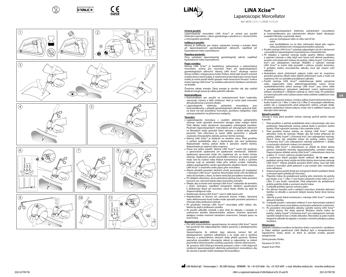













## **LiNA Xcise™** Laparoscopic Morcellator

Ref: MOR-1515-1-I, MOR-1515-6-

### **Určené použití:**

Safety Guard .<br>J Cut 2

'n

Laparoskopický morcelátor LiNA Xcise™ je určený pro použití školenými specialisty v oboru gynekologie a používá se v nemocničním a chirurgickém prostředí.

### **Indikace k použití:**

Nástroj je indikován pro řezání, vyřezávání (coring) a extrakci tkání při laparoskopických gynekologických zákrocích, například při hysterektomii nebo myomektomii.

### **Populace pacientů:**

Ženy vyžadující laparoskopický gynekologický zákrok, například hysterektomii nebo myomektomii.

### **Popis výrobku:**

Nástroj LiNA Xcise™ je bezdrátový, jednorázový a jednoúčelový morcelátor, určený pro morcelaci tkání při laparoskopických gynekologických zákrocích. Nástroj LiNA Xcise™ obsahuje rotační řeznou trubku s integrovanou funkcí trokaru, která také slouží k ochraně ostrého konce řezné trubky. K vytahování pruhů tkáně přes lumen řezné trubky je nutné použít kleště (grasper nebo tenaculum forceps). Funkce řezání nástroje LiNA Xcise™ je ovládána aktivačním tlačítkem umístěným na držadle.

Životnost zdroje energie: Zdroj energie je navržen tak, aby vydržel dodávat energii pouze po dobu jednoho zákroku.

### **Kontraindikace:**

- • Kontraindikace pro použití na vaskularizované tkáni (vaječníky, vejcovody, myomy a další struktury): tkáň je nutné před morcelací devaskularizovat a provést disekci.
- • Laparoskopické elektricky poháněné morcelátory jsou kontraindikovány v případě gynekologických zákroků, pokud je tkáň, na které má být provedena morcelace, postižena malignitou nebo existuje podezření na přítomnost malignity.

### **Varování:**

- <u>• Laparoskopická morcelace s využitím elektricky poháněného</u> nástroje může způsobit diseminaci benigní nebo maligní tkáně. Tkáň dělohy může obsahovat nesuspektní onkologické postižení. Používání laparoskopických morcelátorů při chirurgických zákrocích na fibroidech může způsobit šíření rakoviny a zkrátit dobu přežití pacientů. Tyto informace je nutné sdělit pacientům v případě zvažování chirurgického zákroku pomocí těchto nástrojů.
- • Nástroj LiNA Xcise™ je dodáván ve sterilním stavu. Před použitím si pečlivě prohlédněte obal a zkontrolujte, zda není poškozený. Nepoužívejte nástroj, pokud došlo k porušení sterilní bariéry. Nepoužívejte po uplynutí data exspirace.
- • Pouze pro jedno použití. Nástroj LiNA Xcise™ nesmí být používán a zpracováván opakovaně ani opakovaně sterilizován. Jakékoliv opakované zpracování může mít nepříznivý vliv na funkci tohoto nástroje. Opakované použití prostředků určených pro jedno použití může vést ke zvýšení rizika křížové kontaminace. Snahy o vyčištění nástroje mají za následek riziko jeho selhání a/nebo chybného odběru patologického vzorku způsobeného zbytkem tkáně v nástroji LiNA Xcise™ a značného úniku plynu přes morcelátor.
- • Abyste předešli poranění okolních útrob, postupujte při manipulaci s nástrojem LiNA Xcise™ opatrně. Neumisťujte řezné ostří do blízkosti nebo do kontaktu s tkání, na které nemá být prováděna morcelace. • Při vkládání obturátoru skrze perkutánní přístup hrozí riziko poranění
- krevních cév, střevních kliček nebo močového měchýře. • Dbejte, aby se řezné ostří nástroje LiNA Xcise™ nedostalo do kontaktu
- s jiným nástrojem, například úchopnými kleštěmi používanými k přidržování tkáně při morcelaci cílové tkáně. Mohlo by dojít ke ztupení/odštípnutí nože.
- • Neaktivujte nástroj LiNA Xcise™, není-li vidět řezné ostří.
- • Nepokoušejte se brousit ani upravovat řeznou trubku. Upravená nebo deformovaná řezná trubka může způsobit poranění pacienta či
- chirurga nebo poškození nástroje. • Při používání nástroje LiNA Xcise™ nevyvíjejte příliš velkou sílu. Mohlo by dojít k poškození výrobku.
- • Po použití odhoďte výrobek a jeho obal do odpadu v souladu se směrnicemi daného zdravotnického zařízení, místními správními předpisy a/nebo místními národními směrnicemi. Dávejte pozor na .<br>ostré hrany.

### **Bezpečnostní opatření:**

<u>• Fro větší srozumitelnost upozorňujeme</u>, že nástroj LiNA Xcise™ nesmí být používán bez odpovídajícího výběru pacienta a předoperačního vyšetření.

Upozorňujeme, že některé typy rakoviny nemusí být při předoperačním vyšetření odhalitelné a to může vést k rozšíření rakoviny a potenciálnímu zkrácení doby přežití pacienta. Školený specialista provádějící chirurgický zákrok je odpovědný za získání písemného informovaného souhlasu pacienta s těmito informacemi. 30. prosince 2020 Úřad pro kontrolu potravin a léčiv v USA doporučil výrobcům laparoskopických elektricky poháněných morcelátorů, aby do návodu k použití vložili následující kontraindikaci:

Použití laparoskopických elektricky poháněných morcelátorů je kontraindikováno pro odstraňování děložní tkáně obsahující suspektní fibroidy u pacientek, které:

– jsou po menopauze nebo ve věku nad 50 let,

nebo – jsou kandidátkami na en bloc odstranění tkáně přes vaginu

- nebo prostřednictvím minilaparotomického naříznutí. • Použití nástroje LiNA Xcise™ vyžaduje odpovídající výcvik a zkušenosti
- s prováděním laparoskopické myomektomie a hysterektomie. • Při vkládání a vyjímání nástroje buďte opatrní. Během vkládání
- a vyjímání nástroje a vždy, když není řezné ostří aktivně používáno, zasuňte ostří přepnutím trokaru do polohy "Safety Guard" ("Ochranný kryt") pro zabezpečení nástroje. Vkládání a vyjímání nástroje LiNA Xcise™ je nutné vždy provádět s přímou vizuální kontrolou. V průběhu celého morcelačního zákroku musí být rotační ostří viditelné.
- • Nedodržení všech příslušných pokynů může vést ke značnému poranění pacienta, lékaře nebo dalších přítomných osob a může mít nepříznivý vliv na výsledek prováděných zákroků.
- • Použití nástroje LiNA Xcise™ nepředstavuje žádné významné riziko vzájemného nebo elektromagnetického rušení. Emise vysokofrekvenčního záření nástroje LiNA Xcise™ jsou velmi nízké a pravděpodobnost způsobení jakéhokoli rušení elektronických zařízení umístěných v blízkosti nástroje je velmi malá. Při podezření na rušení přesuňte rušící zařízení jinam nebo zvětšete vzdálenost mezi zařízeními.

**cs**

Při změně nastavení trokaru z funkce Safety Guard (Ochranný Kryt) na funkci řezání Cut 1 (Řez 1) nebo Cut 2 (Řez 2) nevyvíjejte nadměrnou axiální sílu a nezapomeňte před přepnutím režimu uchopit držák, protože nedodržení tohoto pokynu může vést k oddělení trokaru od zbývající části nástroje.

### **Návod k použití:**

Chirurg si musí před použitím tohoto nástroje pečlivě přečíst návod k použití.

- 1. Před použitím si pečlivě prohlédněte obal a zkontrolujte, zda není poškozený. Nepoužívejte nástroj, pokud došlo k porušení sterilní bariéry. Před vyjmutím nástroje z tácu sejměte úchyt.
- 2. Před použitím funkce trokaru na nástroji LiNA Xcise™ vložte obturátor zcela do nástroje. Dbejte, aby byl trokar přepnutý do polohy "Safety Guard" ("Ochranný kryt") pro zabezpečení nástroje. Není-li tomu tak, přepněte trokar do polohy "Safety Guard" ("Ochranný kryt") pro zabezpečení nástroje podržením v držáku a současným otočením trokaru *(viz obrázek 2)*.
- 3. Nástroj LiNA Xcise™ s obturátorem se vkládá do břišní dutiny pomocí standardní techniky laparoskopického umístění trokaru. Doporučujeme vkládat nástroj LiNA Xcise™ s obturátorem skrze řez o délce 12–14 mm s přímou vizuální kontrolou.
- 4. K vytahování tkáně použijte kleště velikosti **10–12 mm** nebo podobný nástroj, který vložíte do břišní dutiny skrze lumen nástroje LiNA Xcise™. Abyste předešli poranění břišní stěny, musí být tkáň určená k morcelaci před pokusem o její extrakci přes morcelátor zcela odhalena.
- 5. Doporučujeme použít druhý pár úchopných kleští k podržení tkáně a omezení jejích pohybů při morcelaci.
- 6. Přepněte trokar do požadované polohy jeho otočením do polohy pro řezání: "Cut 1" ("Řez 1") pro funkci ořezávání vrstev nebo "Cut 2" ("Řez 2") pro funkci vyřezávání. Před přepnutím do požadované polohy podržte držák a současně otočte trokar.
- 7. V případě potřeby upravte ochranu jádra.
- 8. Pro aktivaci řezného ostří a zahájení morcelace stiskněte aktivační tlačítko na držadle a současně tahejte kousky tkáně skrze řeznou trubku.
- 9. Jakmile je pruh tkáně extrahován z nástroje LiNA Xcise™, uvolněte aktivační tlačítko.
- 10. V případě použití s nástrojem velikosti 5 mm: Namontujte redukční kryt na zadní stranu morcelátoru současným zatlačením a otočením.
- 11. Po provedení chirurgického zákroku vyjměte nástroj LiNA Xcise™ z břišní dutiny. Pro účely správné likvidace otočte trokar do polohy "Safety Guard" ("Ochranný kryt") pro zabezpečení nástroje, sejměte redukční kryt a vložte obturátor. Morcelátor je poté možné bezpečně odhodit do odpadu v souladu s místními předpisy a plány recyklace.

### **Ohlašování:**

Jakýkoliv nežádoucí incident, ke kterému došlo v souvislosti s výrobkem, je třeba nahlásit společnosti LiNA Medical ApS a kompetentnímu regulačnímu úřadu země, ve které je uživatel a/nebo pacient zaregistrován.

Země původu: Polsko.

- Označení CE 2015.
- Stupeň krytí: IPX0.

đ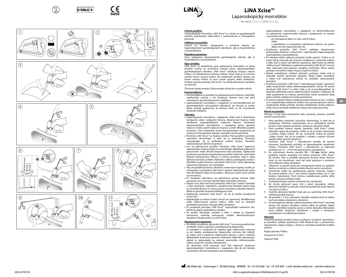

Safety Guard .<br>J Cut 2

Cut 2 Cut 1 'n

م<br>U Cut 2













## **LiNA Xcise™ LiNA Xcise™**

Laparoskopický morcelátor

Ref: MOR-1515-1-I, MOR-1515-6-I

### **Určené použitie:**

Laparoskopický morcelátor LiNA Xcise™ je určený na gynekologické použitie vyškolenými odborníkmi v nemocničnom a chirurgickom prostredí.

### **Indikácie na použitie:**

Určené na rezanie, vykrajovanie a extrakciu tkaniva pri laparoskopických gynekologických zákrokoch, ako je hysterektómia a myomektómia.

### **Populácia pacientov:**

Ženy vyžadujúce laparoskopické gynekologické zákroky, ako je hysterektómia a myomektómia.

### **Opis výrobku:**

LiNA Xcise™ je bezdrôtový, plne jednorazový morcelátor na jedno použitie určený na morceláciu tkaniva počas laparoskopických gynekologických zákrokov. LiNA Xcise™ obsahuje rotujúcu rezaciu trubicu so zabudovanou funkciou trokáru, ktorá slúži aj na ochranu ostrého konca rezacej trubice. Na vytiahnutie prúžkov tkaniva cez lúmen rezacej trubice sa musí použiť grasper alebo tenákulum. Funkcia rezania pomôcky LiNA Xcise™ sa ovláda aktivačným tlačidlom na rukoväti.

Životnosť zdroja energie: Zdroj energie určený len na jeden zákrok. **Kontraindikácie:**

- 
- • Kontraindikácie na použitie na vaskularizovanom tkanive (vaječníky, vajíčkovody, myómy a iné štruktúry): tkanivo musí byť pred morceláciou devaskularizované a oddelené.
- • Laparoskopické morcelátory s napájaním sú kontraindikované pri gynekologických chirurgických zákrokoch, pri ktorých je známe alebo existuje podozrenie, že tkanivo, ktoré sa má morcelovať, obsahuje malignitu.

### **Výstrahy:**

- • Laparoskopická morcelácia s napájaním môže viesť k diseminácii benígneho alebo malígneho tkaniva. Maternicové tkanivo môže obsahovať nepredpokladané nádorové tkanivo. Používanie laparoskopických morcelátorov s napájaním počas operácie myómov môže rozšíriť nádorové tkanivo a znížiť dlhodobé prežitie pacientov. Tieto informácie musia byť pacientkam poskytnuté pri zvažovaní chirurgického zákroku s použitím týchto pomôcok.
- • Pomôcka LiNA Xcise™ sa dodáva sterilná. Pred použitím pomôcky starostlivo skontrolujte, či obal nie je poškodený. Pomôcku nepoužívajte, ak je poškodená sterilná bariéra. Pomôcku nepoužívajte po dátume exspirácie.
- • Len na jednorazové použitie. Pomôcku LiNA Xcise™ opätovne nepoužívajte, nespracúvajte ani nesterilizujte. Akékoľvek opakované spracovanie môže ohroziť fungovanie tejto pomôcky. Opakované používanie pomôcok na jednorazové použitie môže tiež zvýšiť riziko krížovej kontaminácie. Pokusy o čistenie pomôcky vedú k riziku zlyhania pomôcky a/alebo chybnému odberu patologickej vzorky v dôsledku zvyškov tkaniva v pomôcke LiNA Xcise™, ktoré spôsobujú významný únik plynu cez morcelátor.
- • Aby ste predišli poraneniu okolitých vnútorných orgánov, buďte pri manipulácii s pomôckou LiNA Xcise™ opatrní. Neumiestňujte rezací hrot do blízkosti alebo do kontaktu s tkanivom, ktoré nie je určené na morceláciu.
- Pri zavádzaní obturátora cez perkutánny prístup existuje riziko poranenia ciev, črevných slučiek alebo močového mechúra.
- • Dbajte na to, aby rezací hrot pomôcky LiNA Xcise™ nebol v kontakte s iným nástrojom, napríklad s uchopovacími kliešťami, ktoré majú za cieľ držať tkanivo na mieste počas morcelácie cieľového tkaniva.
- Môže to spôsobiť otupenie/odštiepenie noža. • Neaktivujte pomôcku LiNA Xcise™, ak nie je možné vizualizovať rezací hrot.
- • Nepokúšajte sa rezaciu trubicu brúsiť ani upravovať. Modifikovaná alebo deformovaná rezacia trubica môže mať za následok poškodenie pacienta, chirurga alebo zariadenia.
- • Pri používaní pomôcky LiNA Xcise™ nepoužívajte nadmernú silu. Mohlo by dôjsť k poškodeniu výrobku.
- • Po použití zlikvidujte výrobok a obal v súlade so zásadami
- nemocnice, miestnej samosprávy a/alebo administratívnymi zásadami. Dávajte pozor na ostré hrany.

### **Bezpečnostné opatrenia:**

- • Pre ďalšie vysvetlenie, pomôcka LiNA Xcise™ sa nesmie používať bez vhodného výberu pacienta a predoperačnej diagnostiky. Je potrebné si uvedomiť, že niektoré typy nádorových ochorení
- sa pri takejto predoperačnej diagnostike nemusia dať odhaliť, čo môže viesť k rozšíreniu nádorového tkaniva, a tým k zníženiu dlhodobého prežívania pacienta. Vyškolený odborník vykonávajúci zákrok je zodpovedný za získanie písomného informovaného súhlasu pacienta s týmito informáciami.

30. decembra 2020 americký úrad FDA odporučil výrobcom laparoskopických morcelátorov s napájaním, aby do ich návodu na použitie zahrnuli nasledujúcu kontraindikáciu:

Laparoskopické morcelátory s napájaním sú kontraindikované na odstránenie maternicového tkaniva s podozrením na myómy u pacientok, ktoré sú:

- po menopauze alebo vo veku nad 50 rokov,

alebo - u kandidátok na kompletné odstránenie tkaniva cez pošvu

- alebo cez mini-laparotomický rez. • Používanie pomôcky LiNA Xcise™ vyžaduje absolvovanie primeraného školenia a skúsenosti s vykonávaním laparoskopickej myomektómie a hysterektómie.
- Pri vkladaní alebo vyberaní pomôcky buďte opatrní. Uistite sa, že rezací nôž je zasunutý tak, že počas zavádzania a vyberania trokáru a vždy, keď sa rezací nôž aktívne nepoužíva, dáte trokár do polohy "Safety Guard". Vkladanie a vyberanie pomôcky LiNA Xcise™ sa musí vždy vykonávať pod priamou vizuálnou kontrolou. Počas celého postupu morcelácie majte rotujúcu čepeľ na očiach.
- • Riadne nedodržanie všetkých platných postupov môže mať za následok značné poranenie pacienta, lekára alebo účastníkov a môže mať nepriaznivý účinok na výsledok vykonávaných postupov.
- • Používanie pomôcky LiNA Xcise™ nepredstavuje žiadne významné riziko recipročného alebo elektromagnetického rušenia. RF emisie pomôcky LiNA Xcise™ sú veľmi nízke a nie je pravdepodobné, že spôsobia akékoľvek rušenie elektronických zariadení v blízkosti. Ak máte podozrenie na rušenie, premiestnite rušivé zariadenie ďalej alebo zväčšite vzdialenosť medzi pomôckami.
- • Pri zmene polohy trokáru z bezpečnostnej ochrany na Cut 1 a/alebo Cut 2 nepoužívajte nadmernú axiálnu silu a pred prepnutím režimu nezabudnite držiak pridržať, pretože nedodržanie týchto pokynov môže mať za následok oddelenie trokáru od zvyšku pomôcky.

**sk**

### **Návod na použitie:**

Chirurg si musí pred používaním tejto pomôcky pozorne prečítať návod na používanie.

- 1. Pred použitím pomôcky starostlivo skontrolujte, či obal nie je poškodený. Pomôcku nepoužívajte, ak je poškodená sterilná bariéra. Pred vybratím pomôcky z podnosu odstráňte držiak.
- 2. Pred použitím funkcie trokáru pomôcky LiNA Xcise™ vložte obturátor úplne do pomôcky. Uistite sa, že je trokár umiestnený v polohe "Safety Guard". Ak nie, umiestnite trokár do polohy "Safety Guard" tak, že ho podržíte v držiaku a potom súčasne otočíte trokár *(pozrite obrázok 2)*.
- 3. Pomôcku LiNA Xcise™ s obturátorom zaveďte do brucha pomocou štandardnej techniky na laparoskopické zavádzanie trokáru. Pomôcka LiNA Xcise™ s obturátorom sa odporúča zavádzať cez 12 – 14 mm rez pod priamou vizualizáciou.
- 4. Na odstránenie tkaniva použite **10 12 mm** kliešte alebo podobný nástroj zavedený cez lúmen pomôcky LiNA Xcise™ do brucha. Aby sa predišlo poraneniu brušnej steny, tkanivo, ktoré sa má morcelovať, musí byť pred pokusom o extrakciu morcelátorom úplne obnažené.
- 5. Odporúča sa použiť druhý pár uchopovacích klieští na udržanie tkaniva na mieste a zníženie pohybu tkaniva počas morcelácie.
- 6. Umiestnite trokár do požadovanej polohy otočením trokáru do rezacej polohy: "Cut 1" pre funkciu lúpania alebo "Cut 2" pre funkciu vyrezávania. Pred zmenou požadovanej polohy držte držiak a súčasne otáčajte trokár.
- 
- 7. V prípade potreby upravte ochranný kryt vyrezávača. 8. Ak chcete aktivovať rezací nôž a začať morceláciu, stlačte aktivačné tlačidlo na rukoväti a zároveň pretiahnite kúsky tkaniva cez rezaciu trubicu.
- 9. Uvoľnite aktivačné tlačidlo hneď, ako sa z pomôcky LiNA Xcise™ odoberie prúžok tkaniva.
- 10. Na použitie s 5 mm nástrojom: Nasaďte redukčný kryt na zadnú časť morcelátora stlačením a otočením.
- 11. Po chirurgickom zákroku vyberte pomôcku LiNA Xcise™ z brušnej dutiny. Pre správnu likvidáciu otočte trokár do polohy "Safety Guard", odstráňte redukčný uzáver a vložte obturátor. Morcelátor teraz môžete bezpečne zlikvidovať v súlade s miestnymi nariadeniami a recyklačnými plánmi.

### **Hlásenie:**

<u>-------------</u><br>Akýkoľvek závažný incident, ktorý sa vyskytol v súvislosti s pomôckou, je potrebné nahlásiť spoločnosti LiNA Medical ApS a príslušnému regulačnému orgánu krajiny, v ktorej sa nachádza používateľ a/alebo pacient.

Krajina pôvodu: Poľsko. Označenie CE 2015. Trieda ID: IDVO